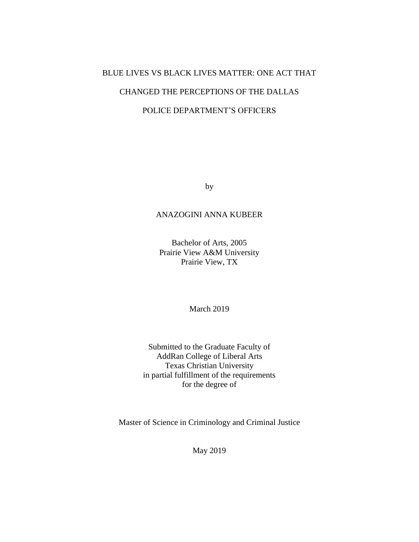# BLUE LIVES VS BLACK LIVES MATTER: ONE ACT THAT

# CHANGED THE PERCEPTIONS OF THE DALLAS

# POLICE DEPARTMENT'S OFFICERS

by

# ANAZOGINI ANNA KUBEER

Bachelor of Arts, 2005 Prairie View A&M University Prairie View, TX

March 2019

Submitted to the Graduate Faculty of AddRan College of Liberal Arts Texas Christian University in partial fulfillment of the requirements for the degree of

Master of Science in Criminology and Criminal Justice

May 2019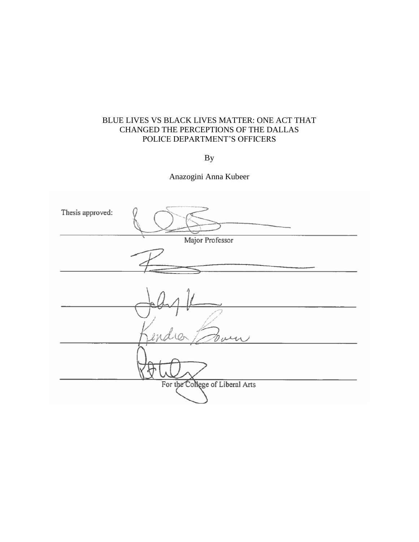# BLUE LIVES VS BLACK LIVES MATTER: ONE ACT THAT CHANGED THE PERCEPTIONS OF THE DALLAS POLICE DEPARTMENT'S OFFICERS

By

Anazogini Anna Kubeer

| Thesis approved: |                                 |
|------------------|---------------------------------|
|                  | Major Professor                 |
|                  |                                 |
|                  |                                 |
|                  |                                 |
|                  |                                 |
|                  |                                 |
|                  | For the College of Liberal Arts |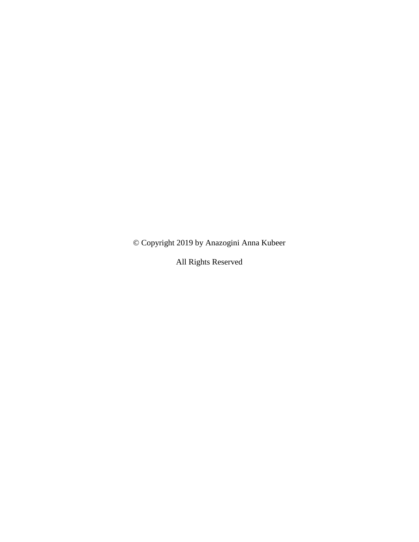© Copyright 2019 by Anazogini Anna Kubeer

All Rights Reserved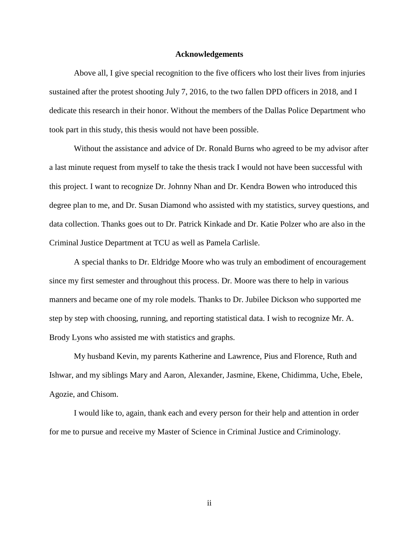#### **Acknowledgements**

Above all, I give special recognition to the five officers who lost their lives from injuries sustained after the protest shooting July 7, 2016, to the two fallen DPD officers in 2018, and I dedicate this research in their honor. Without the members of the Dallas Police Department who took part in this study, this thesis would not have been possible.

Without the assistance and advice of Dr. Ronald Burns who agreed to be my advisor after a last minute request from myself to take the thesis track I would not have been successful with this project. I want to recognize Dr. Johnny Nhan and Dr. Kendra Bowen who introduced this degree plan to me, and Dr. Susan Diamond who assisted with my statistics, survey questions, and data collection. Thanks goes out to Dr. Patrick Kinkade and Dr. Katie Polzer who are also in the Criminal Justice Department at TCU as well as Pamela Carlisle.

A special thanks to Dr. Eldridge Moore who was truly an embodiment of encouragement since my first semester and throughout this process. Dr. Moore was there to help in various manners and became one of my role models. Thanks to Dr. Jubilee Dickson who supported me step by step with choosing, running, and reporting statistical data. I wish to recognize Mr. A. Brody Lyons who assisted me with statistics and graphs.

My husband Kevin, my parents Katherine and Lawrence, Pius and Florence, Ruth and Ishwar, and my siblings Mary and Aaron, Alexander, Jasmine, Ekene, Chidimma, Uche, Ebele, Agozie, and Chisom.

I would like to, again, thank each and every person for their help and attention in order for me to pursue and receive my Master of Science in Criminal Justice and Criminology.

ii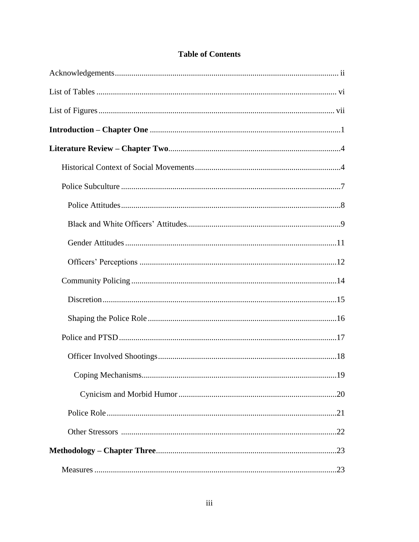# **Table of Contents**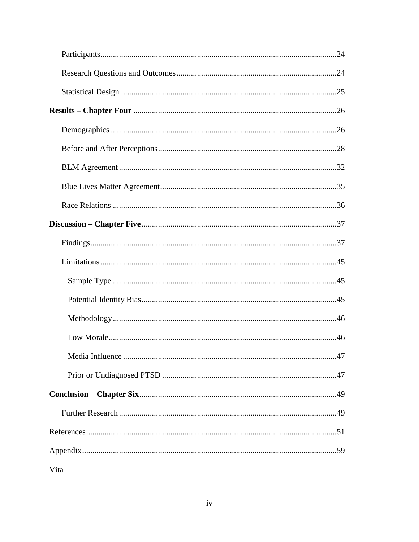| Vita |  |
|------|--|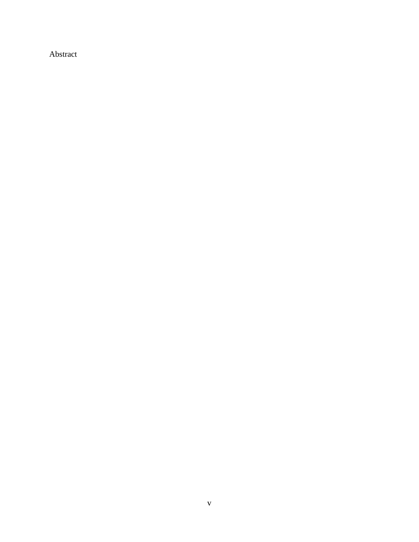Abstract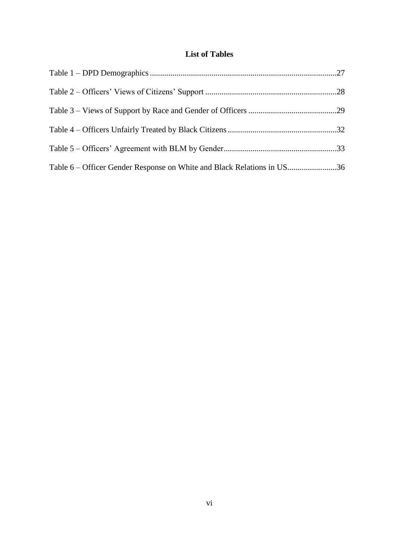# **List of Tables**

| Table 6 – Officer Gender Response on White and Black Relations in US36 |  |
|------------------------------------------------------------------------|--|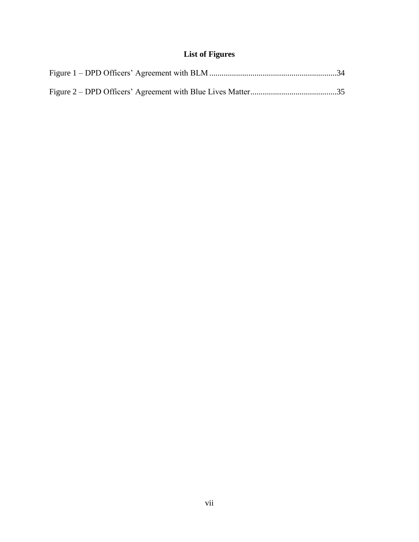# **List of Figures**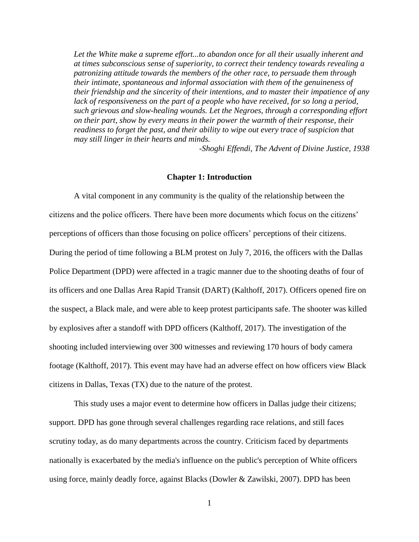Let the White make a supreme effort...to abandon once for all their usually inherent and *at times subconscious sense of superiority, to correct their tendency towards revealing a patronizing attitude towards the members of the other race, to persuade them through their intimate, spontaneous and informal association with them of the genuineness of their friendship and the sincerity of their intentions, and to master their impatience of any*  lack of responsiveness on the part of a people who have received, for so long a period, *such grievous and slow-healing wounds. Let the Negroes, through a corresponding effort on their part, show by every means in their power the warmth of their response, their readiness to forget the past, and their ability to wipe out every trace of suspicion that may still linger in their hearts and minds.*

*-Shoghi Effendi, The Advent of Divine Justice, 1938*

## **Chapter 1: Introduction**

A vital component in any community is the quality of the relationship between the citizens and the police officers. There have been more documents which focus on the citizens' perceptions of officers than those focusing on police officers' perceptions of their citizens. During the period of time following a BLM protest on July 7, 2016, the officers with the Dallas Police Department (DPD) were affected in a tragic manner due to the shooting deaths of four of its officers and one Dallas Area Rapid Transit (DART) (Kalthoff, 2017). Officers opened fire on the suspect, a Black male, and were able to keep protest participants safe. The shooter was killed by explosives after a standoff with DPD officers (Kalthoff, 2017). The investigation of the shooting included interviewing over 300 witnesses and reviewing 170 hours of body camera footage (Kalthoff, 2017). This event may have had an adverse effect on how officers view Black citizens in Dallas, Texas (TX) due to the nature of the protest.

This study uses a major event to determine how officers in Dallas judge their citizens; support. DPD has gone through several challenges regarding race relations, and still faces scrutiny today, as do many departments across the country. Criticism faced by departments nationally is exacerbated by the media's influence on the public's perception of White officers using force, mainly deadly force, against Blacks (Dowler & Zawilski, 2007). DPD has been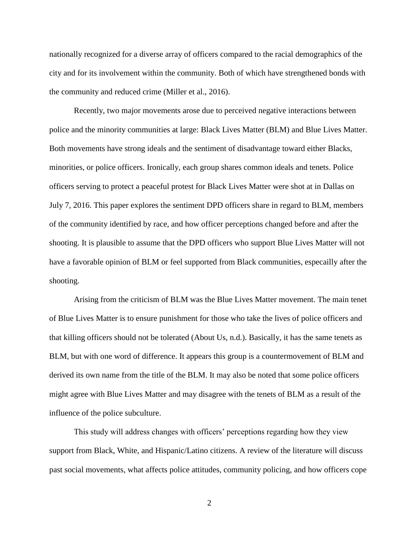nationally recognized for a diverse array of officers compared to the racial demographics of the city and for its involvement within the community. Both of which have strengthened bonds with the community and reduced crime (Miller et al., 2016).

Recently, two major movements arose due to perceived negative interactions between police and the minority communities at large: Black Lives Matter (BLM) and Blue Lives Matter. Both movements have strong ideals and the sentiment of disadvantage toward either Blacks, minorities, or police officers. Ironically, each group shares common ideals and tenets. Police officers serving to protect a peaceful protest for Black Lives Matter were shot at in Dallas on July 7, 2016. This paper explores the sentiment DPD officers share in regard to BLM, members of the community identified by race, and how officer perceptions changed before and after the shooting. It is plausible to assume that the DPD officers who support Blue Lives Matter will not have a favorable opinion of BLM or feel supported from Black communities, especailly after the shooting.

Arising from the criticism of BLM was the Blue Lives Matter movement. The main tenet of Blue Lives Matter is to ensure punishment for those who take the lives of police officers and that killing officers should not be tolerated (About Us, n.d.). Basically, it has the same tenets as BLM, but with one word of difference. It appears this group is a countermovement of BLM and derived its own name from the title of the BLM. It may also be noted that some police officers might agree with Blue Lives Matter and may disagree with the tenets of BLM as a result of the influence of the police subculture.

This study will address changes with officers' perceptions regarding how they view support from Black, White, and Hispanic/Latino citizens. A review of the literature will discuss past social movements, what affects police attitudes, community policing, and how officers cope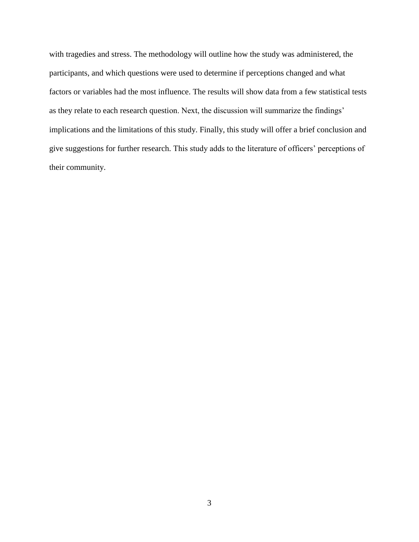with tragedies and stress. The methodology will outline how the study was administered, the participants, and which questions were used to determine if perceptions changed and what factors or variables had the most influence. The results will show data from a few statistical tests as they relate to each research question. Next, the discussion will summarize the findings' implications and the limitations of this study. Finally, this study will offer a brief conclusion and give suggestions for further research. This study adds to the literature of officers' perceptions of their community.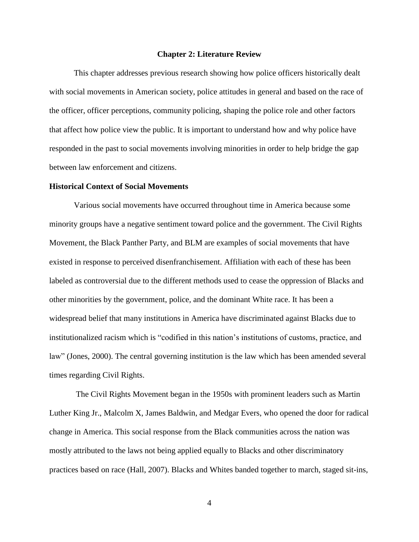#### **Chapter 2: Literature Review**

This chapter addresses previous research showing how police officers historically dealt with social movements in American society, police attitudes in general and based on the race of the officer, officer perceptions, community policing, shaping the police role and other factors that affect how police view the public. It is important to understand how and why police have responded in the past to social movements involving minorities in order to help bridge the gap between law enforcement and citizens.

#### **Historical Context of Social Movements**

Various social movements have occurred throughout time in America because some minority groups have a negative sentiment toward police and the government. The Civil Rights Movement, the Black Panther Party, and BLM are examples of social movements that have existed in response to perceived disenfranchisement. Affiliation with each of these has been labeled as controversial due to the different methods used to cease the oppression of Blacks and other minorities by the government, police, and the dominant White race. It has been a widespread belief that many institutions in America have discriminated against Blacks due to institutionalized racism which is "codified in this nation's institutions of customs, practice, and law" (Jones, 2000). The central governing institution is the law which has been amended several times regarding Civil Rights.

The Civil Rights Movement began in the 1950s with prominent leaders such as Martin Luther King Jr., Malcolm X, James Baldwin, and Medgar Evers, who opened the door for radical change in America. This social response from the Black communities across the nation was mostly attributed to the laws not being applied equally to Blacks and other discriminatory practices based on race (Hall, 2007). Blacks and Whites banded together to march, staged sit-ins,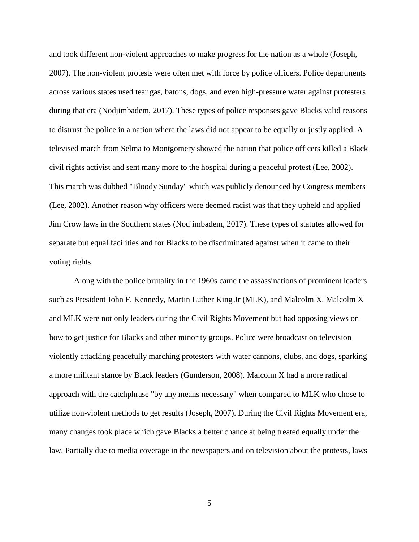and took different non-violent approaches to make progress for the nation as a whole (Joseph, 2007). The non-violent protests were often met with force by police officers. Police departments across various states used tear gas, batons, dogs, and even high-pressure water against protesters during that era (Nodjimbadem, 2017). These types of police responses gave Blacks valid reasons to distrust the police in a nation where the laws did not appear to be equally or justly applied. A televised march from Selma to Montgomery showed the nation that police officers killed a Black civil rights activist and sent many more to the hospital during a peaceful protest (Lee, 2002). This march was dubbed "Bloody Sunday" which was publicly denounced by Congress members (Lee, 2002). Another reason why officers were deemed racist was that they upheld and applied Jim Crow laws in the Southern states (Nodjimbadem, 2017). These types of statutes allowed for separate but equal facilities and for Blacks to be discriminated against when it came to their voting rights.

Along with the police brutality in the 1960s came the assassinations of prominent leaders such as President John F. Kennedy, Martin Luther King Jr (MLK), and Malcolm X. Malcolm X and MLK were not only leaders during the Civil Rights Movement but had opposing views on how to get justice for Blacks and other minority groups. Police were broadcast on television violently attacking peacefully marching protesters with water cannons, clubs, and dogs, sparking a more militant stance by Black leaders (Gunderson, 2008). Malcolm X had a more radical approach with the catchphrase "by any means necessary" when compared to MLK who chose to utilize non-violent methods to get results (Joseph, 2007). During the Civil Rights Movement era, many changes took place which gave Blacks a better chance at being treated equally under the law. Partially due to media coverage in the newspapers and on television about the protests, laws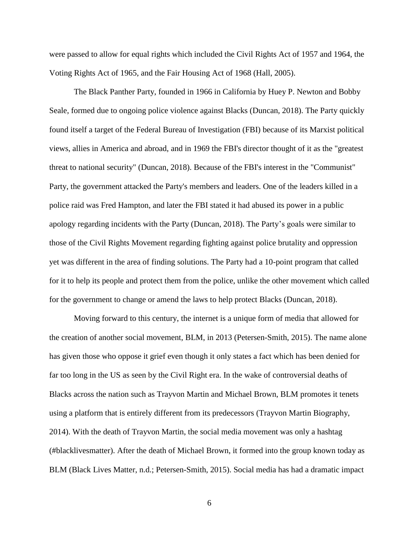were passed to allow for equal rights which included the Civil Rights Act of 1957 and 1964, the Voting Rights Act of 1965, and the Fair Housing Act of 1968 (Hall, 2005).

The Black Panther Party, founded in 1966 in California by Huey P. Newton and Bobby Seale, formed due to ongoing police violence against Blacks (Duncan, 2018). The Party quickly found itself a target of the Federal Bureau of Investigation (FBI) because of its Marxist political views, allies in America and abroad, and in 1969 the FBI's director thought of it as the "greatest threat to national security" (Duncan, 2018). Because of the FBI's interest in the "Communist" Party, the government attacked the Party's members and leaders. One of the leaders killed in a police raid was Fred Hampton, and later the FBI stated it had abused its power in a public apology regarding incidents with the Party (Duncan, 2018). The Party's goals were similar to those of the Civil Rights Movement regarding fighting against police brutality and oppression yet was different in the area of finding solutions. The Party had a 10-point program that called for it to help its people and protect them from the police, unlike the other movement which called for the government to change or amend the laws to help protect Blacks (Duncan, 2018).

Moving forward to this century, the internet is a unique form of media that allowed for the creation of another social movement, BLM, in 2013 (Petersen-Smith, 2015). The name alone has given those who oppose it grief even though it only states a fact which has been denied for far too long in the US as seen by the Civil Right era. In the wake of controversial deaths of Blacks across the nation such as Trayvon Martin and Michael Brown, BLM promotes it tenets using a platform that is entirely different from its predecessors (Trayvon Martin Biography, 2014). With the death of Trayvon Martin, the social media movement was only a hashtag (#blacklivesmatter). After the death of Michael Brown, it formed into the group known today as BLM (Black Lives Matter, n.d.; Petersen-Smith, 2015). Social media has had a dramatic impact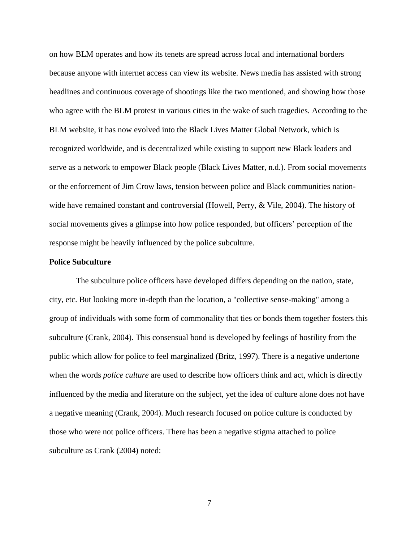on how BLM operates and how its tenets are spread across local and international borders because anyone with internet access can view its website. News media has assisted with strong headlines and continuous coverage of shootings like the two mentioned, and showing how those who agree with the BLM protest in various cities in the wake of such tragedies. According to the BLM website, it has now evolved into the Black Lives Matter Global Network, which is recognized worldwide, and is decentralized while existing to support new Black leaders and serve as a network to empower Black people (Black Lives Matter, n.d.). From social movements or the enforcement of Jim Crow laws, tension between police and Black communities nationwide have remained constant and controversial (Howell, Perry, & Vile, 2004). The history of social movements gives a glimpse into how police responded, but officers' perception of the response might be heavily influenced by the police subculture.

#### **Police Subculture**

The subculture police officers have developed differs depending on the nation, state, city, etc. But looking more in-depth than the location, a "collective sense-making" among a group of individuals with some form of commonality that ties or bonds them together fosters this subculture (Crank, 2004). This consensual bond is developed by feelings of hostility from the public which allow for police to feel marginalized (Britz, 1997). There is a negative undertone when the words *police culture* are used to describe how officers think and act, which is directly influenced by the media and literature on the subject, yet the idea of culture alone does not have a negative meaning (Crank, 2004). Much research focused on police culture is conducted by those who were not police officers. There has been a negative stigma attached to police subculture as Crank (2004) noted: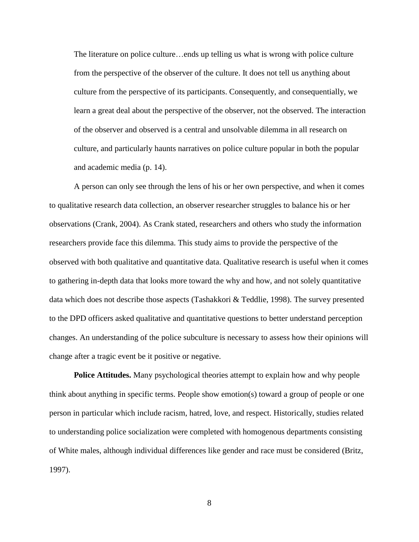The literature on police culture…ends up telling us what is wrong with police culture from the perspective of the observer of the culture. It does not tell us anything about culture from the perspective of its participants. Consequently, and consequentially, we learn a great deal about the perspective of the observer, not the observed. The interaction of the observer and observed is a central and unsolvable dilemma in all research on culture, and particularly haunts narratives on police culture popular in both the popular and academic media (p. 14).

A person can only see through the lens of his or her own perspective, and when it comes to qualitative research data collection, an observer researcher struggles to balance his or her observations (Crank, 2004). As Crank stated, researchers and others who study the information researchers provide face this dilemma. This study aims to provide the perspective of the observed with both qualitative and quantitative data. Qualitative research is useful when it comes to gathering in-depth data that looks more toward the why and how, and not solely quantitative data which does not describe those aspects (Tashakkori & Teddlie, 1998). The survey presented to the DPD officers asked qualitative and quantitative questions to better understand perception changes. An understanding of the police subculture is necessary to assess how their opinions will change after a tragic event be it positive or negative.

**Police Attitudes.** Many psychological theories attempt to explain how and why people think about anything in specific terms. People show emotion(s) toward a group of people or one person in particular which include racism, hatred, love, and respect. Historically, studies related to understanding police socialization were completed with homogenous departments consisting of White males, although individual differences like gender and race must be considered (Britz, 1997).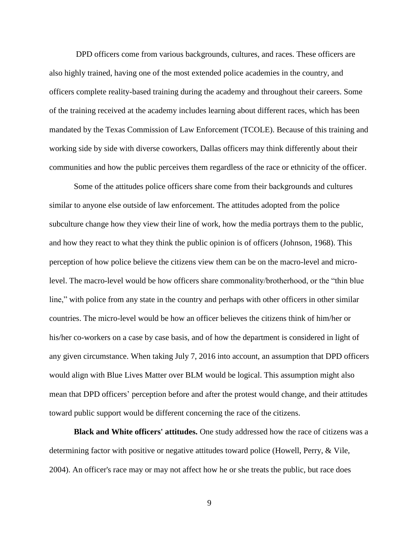DPD officers come from various backgrounds, cultures, and races. These officers are also highly trained, having one of the most extended police academies in the country, and officers complete reality-based training during the academy and throughout their careers. Some of the training received at the academy includes learning about different races, which has been mandated by the Texas Commission of Law Enforcement (TCOLE). Because of this training and working side by side with diverse coworkers, Dallas officers may think differently about their communities and how the public perceives them regardless of the race or ethnicity of the officer.

Some of the attitudes police officers share come from their backgrounds and cultures similar to anyone else outside of law enforcement. The attitudes adopted from the police subculture change how they view their line of work, how the media portrays them to the public, and how they react to what they think the public opinion is of officers (Johnson, 1968). This perception of how police believe the citizens view them can be on the macro-level and microlevel. The macro-level would be how officers share commonality/brotherhood, or the "thin blue line," with police from any state in the country and perhaps with other officers in other similar countries. The micro-level would be how an officer believes the citizens think of him/her or his/her co-workers on a case by case basis, and of how the department is considered in light of any given circumstance. When taking July 7, 2016 into account, an assumption that DPD officers would align with Blue Lives Matter over BLM would be logical. This assumption might also mean that DPD officers' perception before and after the protest would change, and their attitudes toward public support would be different concerning the race of the citizens.

**Black and White officers' attitudes.** One study addressed how the race of citizens was a determining factor with positive or negative attitudes toward police (Howell, Perry, & Vile, 2004). An officer's race may or may not affect how he or she treats the public, but race does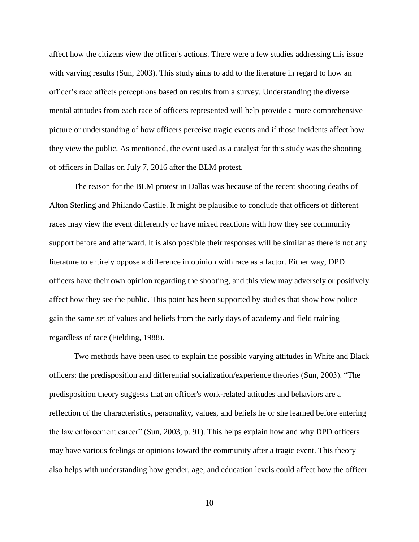affect how the citizens view the officer's actions. There were a few studies addressing this issue with varying results (Sun, 2003). This study aims to add to the literature in regard to how an officer's race affects perceptions based on results from a survey. Understanding the diverse mental attitudes from each race of officers represented will help provide a more comprehensive picture or understanding of how officers perceive tragic events and if those incidents affect how they view the public. As mentioned, the event used as a catalyst for this study was the shooting of officers in Dallas on July 7, 2016 after the BLM protest.

The reason for the BLM protest in Dallas was because of the recent shooting deaths of Alton Sterling and Philando Castile. It might be plausible to conclude that officers of different races may view the event differently or have mixed reactions with how they see community support before and afterward. It is also possible their responses will be similar as there is not any literature to entirely oppose a difference in opinion with race as a factor. Either way, DPD officers have their own opinion regarding the shooting, and this view may adversely or positively affect how they see the public. This point has been supported by studies that show how police gain the same set of values and beliefs from the early days of academy and field training regardless of race (Fielding, 1988).

Two methods have been used to explain the possible varying attitudes in White and Black officers: the predisposition and differential socialization/experience theories (Sun, 2003). "The predisposition theory suggests that an officer's work-related attitudes and behaviors are a reflection of the characteristics, personality, values, and beliefs he or she learned before entering the law enforcement career" (Sun, 2003, p. 91). This helps explain how and why DPD officers may have various feelings or opinions toward the community after a tragic event. This theory also helps with understanding how gender, age, and education levels could affect how the officer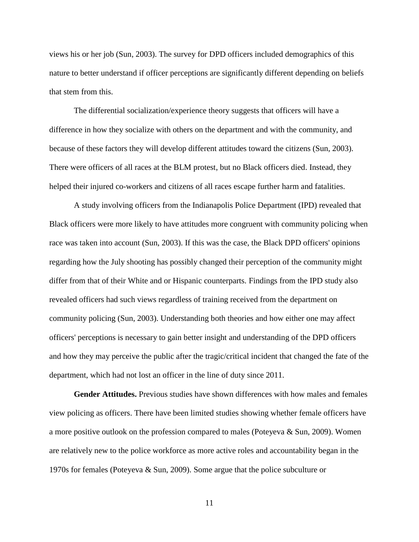views his or her job (Sun, 2003). The survey for DPD officers included demographics of this nature to better understand if officer perceptions are significantly different depending on beliefs that stem from this.

The differential socialization/experience theory suggests that officers will have a difference in how they socialize with others on the department and with the community, and because of these factors they will develop different attitudes toward the citizens (Sun, 2003). There were officers of all races at the BLM protest, but no Black officers died. Instead, they helped their injured co-workers and citizens of all races escape further harm and fatalities.

A study involving officers from the Indianapolis Police Department (IPD) revealed that Black officers were more likely to have attitudes more congruent with community policing when race was taken into account (Sun, 2003). If this was the case, the Black DPD officers' opinions regarding how the July shooting has possibly changed their perception of the community might differ from that of their White and or Hispanic counterparts. Findings from the IPD study also revealed officers had such views regardless of training received from the department on community policing (Sun, 2003). Understanding both theories and how either one may affect officers' perceptions is necessary to gain better insight and understanding of the DPD officers and how they may perceive the public after the tragic/critical incident that changed the fate of the department, which had not lost an officer in the line of duty since 2011.

**Gender Attitudes.** Previous studies have shown differences with how males and females view policing as officers. There have been limited studies showing whether female officers have a more positive outlook on the profession compared to males (Poteyeva & Sun, 2009). Women are relatively new to the police workforce as more active roles and accountability began in the 1970s for females (Poteyeva & Sun, 2009). Some argue that the police subculture or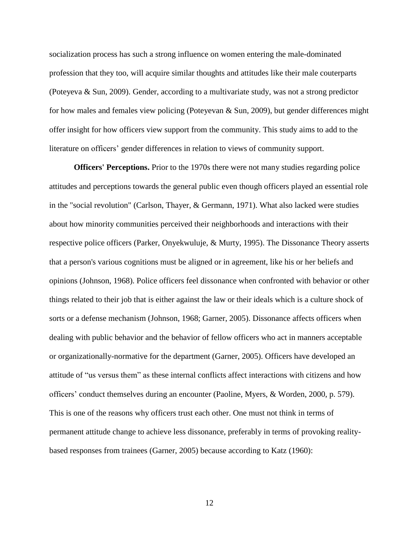socialization process has such a strong influence on women entering the male-dominated profession that they too, will acquire similar thoughts and attitudes like their male couterparts (Poteyeva & Sun, 2009). Gender, according to a multivariate study, was not a strong predictor for how males and females view policing (Poteyevan & Sun, 2009), but gender differences might offer insight for how officers view support from the community. This study aims to add to the literature on officers' gender differences in relation to views of community support.

**Officers' Perceptions.** Prior to the 1970s there were not many studies regarding police attitudes and perceptions towards the general public even though officers played an essential role in the "social revolution" (Carlson, Thayer, & Germann, 1971). What also lacked were studies about how minority communities perceived their neighborhoods and interactions with their respective police officers (Parker, Onyekwuluje, & Murty, 1995). The Dissonance Theory asserts that a person's various cognitions must be aligned or in agreement, like his or her beliefs and opinions (Johnson, 1968). Police officers feel dissonance when confronted with behavior or other things related to their job that is either against the law or their ideals which is a culture shock of sorts or a defense mechanism (Johnson, 1968; Garner, 2005). Dissonance affects officers when dealing with public behavior and the behavior of fellow officers who act in manners acceptable or organizationally-normative for the department (Garner, 2005). Officers have developed an attitude of "us versus them" as these internal conflicts affect interactions with citizens and how officers' conduct themselves during an encounter (Paoline, Myers, & Worden, 2000, p. 579). This is one of the reasons why officers trust each other. One must not think in terms of permanent attitude change to achieve less dissonance, preferably in terms of provoking realitybased responses from trainees (Garner, 2005) because according to Katz (1960):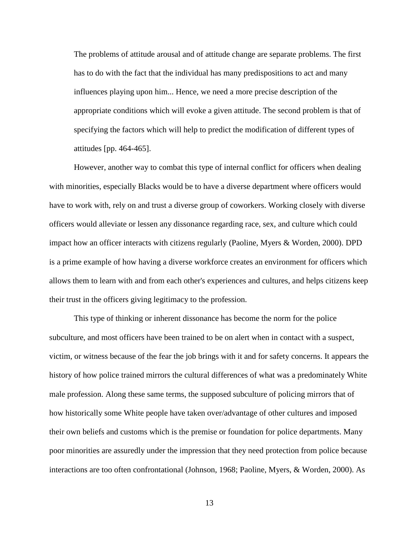The problems of attitude arousal and of attitude change are separate problems. The first has to do with the fact that the individual has many predispositions to act and many influences playing upon him... Hence, we need a more precise description of the appropriate conditions which will evoke a given attitude. The second problem is that of specifying the factors which will help to predict the modification of different types of attitudes [pp. 464-465].

However, another way to combat this type of internal conflict for officers when dealing with minorities, especially Blacks would be to have a diverse department where officers would have to work with, rely on and trust a diverse group of coworkers. Working closely with diverse officers would alleviate or lessen any dissonance regarding race, sex, and culture which could impact how an officer interacts with citizens regularly (Paoline, Myers & Worden, 2000). DPD is a prime example of how having a diverse workforce creates an environment for officers which allows them to learn with and from each other's experiences and cultures, and helps citizens keep their trust in the officers giving legitimacy to the profession.

This type of thinking or inherent dissonance has become the norm for the police subculture, and most officers have been trained to be on alert when in contact with a suspect, victim, or witness because of the fear the job brings with it and for safety concerns. It appears the history of how police trained mirrors the cultural differences of what was a predominately White male profession. Along these same terms, the supposed subculture of policing mirrors that of how historically some White people have taken over/advantage of other cultures and imposed their own beliefs and customs which is the premise or foundation for police departments. Many poor minorities are assuredly under the impression that they need protection from police because interactions are too often confrontational (Johnson, 1968; Paoline, Myers, & Worden, 2000). As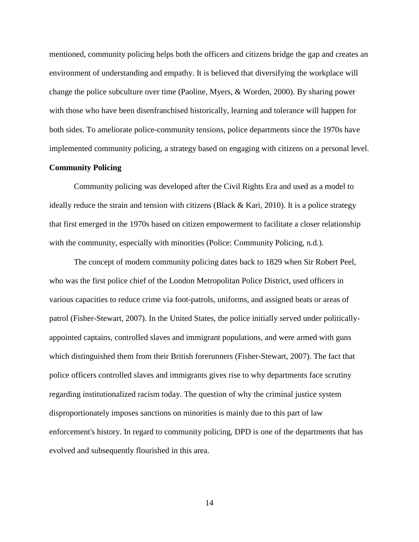mentioned, community policing helps both the officers and citizens bridge the gap and creates an environment of understanding and empathy. It is believed that diversifying the workplace will change the police subculture over time (Paoline, Myers, & Worden, 2000). By sharing power with those who have been disenfranchised historically, learning and tolerance will happen for both sides. To ameliorate police-community tensions, police departments since the 1970s have implemented community policing, a strategy based on engaging with citizens on a personal level.

## **Community Policing**

Community policing was developed after the Civil Rights Era and used as a model to ideally reduce the strain and tension with citizens (Black & Kari, 2010). It is a police strategy that first emerged in the 1970s based on citizen empowerment to facilitate a closer relationship with the community, especially with minorities (Police: Community Policing, n.d.).

The concept of modern community policing dates back to 1829 when Sir Robert Peel, who was the first police chief of the London Metropolitan Police District, used officers in various capacities to reduce crime via foot-patrols, uniforms, and assigned beats or areas of patrol (Fisher-Stewart, 2007). In the United States, the police initially served under politicallyappointed captains, controlled slaves and immigrant populations, and were armed with guns which distinguished them from their British forerunners (Fisher-Stewart, 2007). The fact that police officers controlled slaves and immigrants gives rise to why departments face scrutiny regarding institutionalized racism today. The question of why the criminal justice system disproportionately imposes sanctions on minorities is mainly due to this part of law enforcement's history. In regard to community policing, DPD is one of the departments that has evolved and subsequently flourished in this area.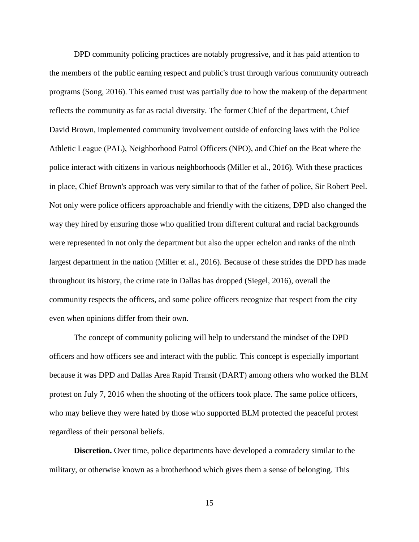DPD community policing practices are notably progressive, and it has paid attention to the members of the public earning respect and public's trust through various community outreach programs (Song, 2016). This earned trust was partially due to how the makeup of the department reflects the community as far as racial diversity. The former Chief of the department, Chief David Brown, implemented community involvement outside of enforcing laws with the Police Athletic League (PAL), Neighborhood Patrol Officers (NPO), and Chief on the Beat where the police interact with citizens in various neighborhoods (Miller et al., 2016). With these practices in place, Chief Brown's approach was very similar to that of the father of police, Sir Robert Peel. Not only were police officers approachable and friendly with the citizens, DPD also changed the way they hired by ensuring those who qualified from different cultural and racial backgrounds were represented in not only the department but also the upper echelon and ranks of the ninth largest department in the nation (Miller et al., 2016). Because of these strides the DPD has made throughout its history, the crime rate in Dallas has dropped (Siegel, 2016), overall the community respects the officers, and some police officers recognize that respect from the city even when opinions differ from their own.

The concept of community policing will help to understand the mindset of the DPD officers and how officers see and interact with the public. This concept is especially important because it was DPD and Dallas Area Rapid Transit (DART) among others who worked the BLM protest on July 7, 2016 when the shooting of the officers took place. The same police officers, who may believe they were hated by those who supported BLM protected the peaceful protest regardless of their personal beliefs.

**Discretion.** Over time, police departments have developed a comradery similar to the military, or otherwise known as a brotherhood which gives them a sense of belonging. This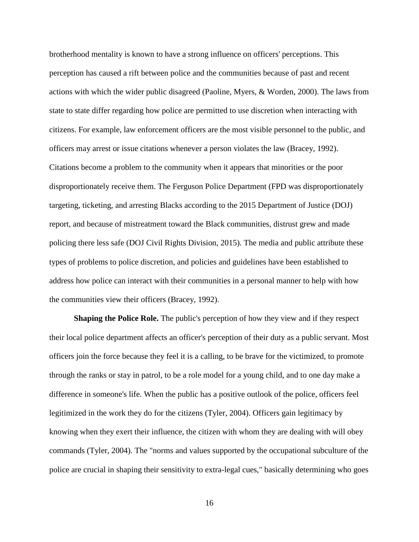brotherhood mentality is known to have a strong influence on officers' perceptions. This perception has caused a rift between police and the communities because of past and recent actions with which the wider public disagreed (Paoline, Myers, & Worden, 2000). The laws from state to state differ regarding how police are permitted to use discretion when interacting with citizens. For example, law enforcement officers are the most visible personnel to the public, and officers may arrest or issue citations whenever a person violates the law (Bracey, 1992). Citations become a problem to the community when it appears that minorities or the poor disproportionately receive them. The Ferguson Police Department (FPD was disproportionately targeting, ticketing, and arresting Blacks according to the 2015 Department of Justice (DOJ) report, and because of mistreatment toward the Black communities, distrust grew and made policing there less safe (DOJ Civil Rights Division, 2015). The media and public attribute these types of problems to police discretion, and policies and guidelines have been established to address how police can interact with their communities in a personal manner to help with how the communities view their officers (Bracey, 1992).

**Shaping the Police Role.** The public's perception of how they view and if they respect their local police department affects an officer's perception of their duty as a public servant. Most officers join the force because they feel it is a calling, to be brave for the victimized, to promote through the ranks or stay in patrol, to be a role model for a young child, and to one day make a difference in someone's life. When the public has a positive outlook of the police, officers feel legitimized in the work they do for the citizens (Tyler, 2004). Officers gain legitimacy by knowing when they exert their influence, the citizen with whom they are dealing with will obey commands (Tyler, 2004). The "norms and values supported by the occupational subculture of the police are crucial in shaping their sensitivity to extra-legal cues," basically determining who goes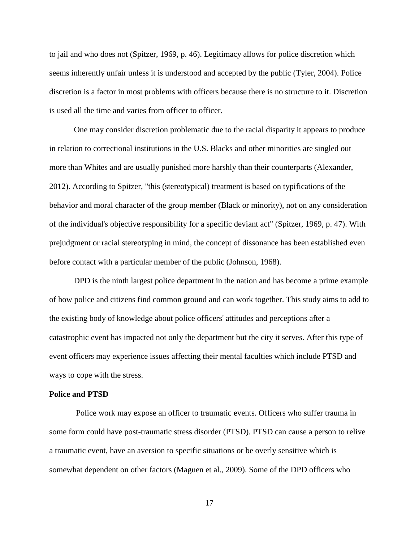to jail and who does not (Spitzer, 1969, p. 46). Legitimacy allows for police discretion which seems inherently unfair unless it is understood and accepted by the public (Tyler, 2004). Police discretion is a factor in most problems with officers because there is no structure to it. Discretion is used all the time and varies from officer to officer.

One may consider discretion problematic due to the racial disparity it appears to produce in relation to correctional institutions in the U.S. Blacks and other minorities are singled out more than Whites and are usually punished more harshly than their counterparts (Alexander, 2012). According to Spitzer, "this (stereotypical) treatment is based on typifications of the behavior and moral character of the group member (Black or minority), not on any consideration of the individual's objective responsibility for a specific deviant act" (Spitzer, 1969, p. 47). With prejudgment or racial stereotyping in mind, the concept of dissonance has been established even before contact with a particular member of the public (Johnson, 1968).

DPD is the ninth largest police department in the nation and has become a prime example of how police and citizens find common ground and can work together. This study aims to add to the existing body of knowledge about police officers' attitudes and perceptions after a catastrophic event has impacted not only the department but the city it serves. After this type of event officers may experience issues affecting their mental faculties which include PTSD and ways to cope with the stress.

#### **Police and PTSD**

Police work may expose an officer to traumatic events. Officers who suffer trauma in some form could have post-traumatic stress disorder (PTSD). PTSD can cause a person to relive a traumatic event, have an aversion to specific situations or be overly sensitive which is somewhat dependent on other factors (Maguen et al., 2009). Some of the DPD officers who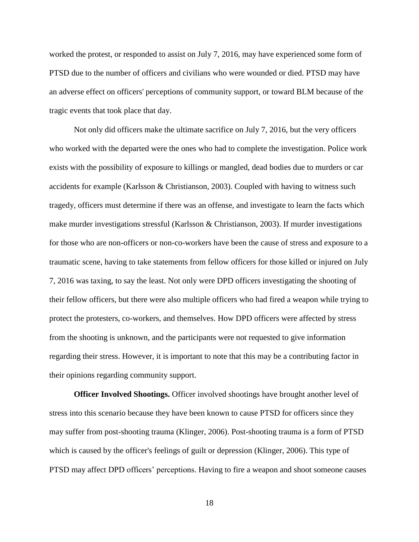worked the protest, or responded to assist on July 7, 2016, may have experienced some form of PTSD due to the number of officers and civilians who were wounded or died. PTSD may have an adverse effect on officers' perceptions of community support, or toward BLM because of the tragic events that took place that day.

Not only did officers make the ultimate sacrifice on July 7, 2016, but the very officers who worked with the departed were the ones who had to complete the investigation. Police work exists with the possibility of exposure to killings or mangled, dead bodies due to murders or car accidents for example (Karlsson & Christianson, 2003). Coupled with having to witness such tragedy, officers must determine if there was an offense, and investigate to learn the facts which make murder investigations stressful (Karlsson & Christianson, 2003). If murder investigations for those who are non-officers or non-co-workers have been the cause of stress and exposure to a traumatic scene, having to take statements from fellow officers for those killed or injured on July 7, 2016 was taxing, to say the least. Not only were DPD officers investigating the shooting of their fellow officers, but there were also multiple officers who had fired a weapon while trying to protect the protesters, co-workers, and themselves. How DPD officers were affected by stress from the shooting is unknown, and the participants were not requested to give information regarding their stress. However, it is important to note that this may be a contributing factor in their opinions regarding community support.

**Officer Involved Shootings.** Officer involved shootings have brought another level of stress into this scenario because they have been known to cause PTSD for officers since they may suffer from post-shooting trauma (Klinger, 2006). Post-shooting trauma is a form of PTSD which is caused by the officer's feelings of guilt or depression (Klinger, 2006). This type of PTSD may affect DPD officers' perceptions. Having to fire a weapon and shoot someone causes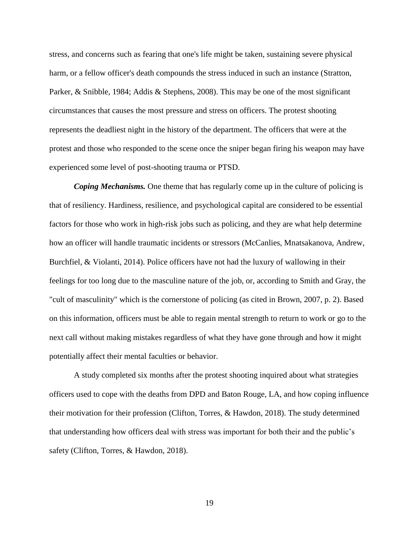stress, and concerns such as fearing that one's life might be taken, sustaining severe physical harm, or a fellow officer's death compounds the stress induced in such an instance (Stratton, Parker, & Snibble, 1984; Addis & Stephens, 2008). This may be one of the most significant circumstances that causes the most pressure and stress on officers. The protest shooting represents the deadliest night in the history of the department. The officers that were at the protest and those who responded to the scene once the sniper began firing his weapon may have experienced some level of post-shooting trauma or PTSD.

*Coping Mechanisms.* One theme that has regularly come up in the culture of policing is that of resiliency. Hardiness, resilience, and psychological capital are considered to be essential factors for those who work in high-risk jobs such as policing, and they are what help determine how an officer will handle traumatic incidents or stressors (McCanlies, Mnatsakanova, Andrew, Burchfiel, & Violanti, 2014). Police officers have not had the luxury of wallowing in their feelings for too long due to the masculine nature of the job, or, according to Smith and Gray, the "cult of masculinity" which is the cornerstone of policing (as cited in Brown, 2007, p. 2). Based on this information, officers must be able to regain mental strength to return to work or go to the next call without making mistakes regardless of what they have gone through and how it might potentially affect their mental faculties or behavior.

A study completed six months after the protest shooting inquired about what strategies officers used to cope with the deaths from DPD and Baton Rouge, LA, and how coping influence their motivation for their profession (Clifton, Torres, & Hawdon, 2018). The study determined that understanding how officers deal with stress was important for both their and the public's safety (Clifton, Torres, & Hawdon, 2018).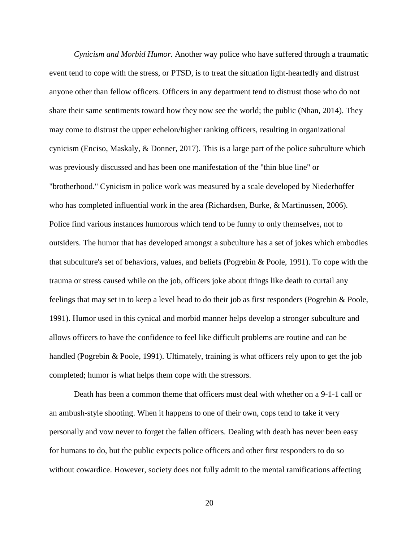*Cynicism and Morbid Humor.* Another way police who have suffered through a traumatic event tend to cope with the stress, or PTSD, is to treat the situation light-heartedly and distrust anyone other than fellow officers. Officers in any department tend to distrust those who do not share their same sentiments toward how they now see the world; the public (Nhan, 2014). They may come to distrust the upper echelon/higher ranking officers, resulting in organizational cynicism (Enciso, Maskaly, & Donner, 2017). This is a large part of the police subculture which was previously discussed and has been one manifestation of the "thin blue line" or "brotherhood." Cynicism in police work was measured by a scale developed by Niederhoffer who has completed influential work in the area (Richardsen, Burke, & Martinussen, 2006). Police find various instances humorous which tend to be funny to only themselves, not to outsiders. The humor that has developed amongst a subculture has a set of jokes which embodies that subculture's set of behaviors, values, and beliefs (Pogrebin & Poole, 1991). To cope with the trauma or stress caused while on the job, officers joke about things like death to curtail any feelings that may set in to keep a level head to do their job as first responders (Pogrebin & Poole, 1991). Humor used in this cynical and morbid manner helps develop a stronger subculture and allows officers to have the confidence to feel like difficult problems are routine and can be handled (Pogrebin & Poole, 1991). Ultimately, training is what officers rely upon to get the job completed; humor is what helps them cope with the stressors.

Death has been a common theme that officers must deal with whether on a 9-1-1 call or an ambush-style shooting. When it happens to one of their own, cops tend to take it very personally and vow never to forget the fallen officers. Dealing with death has never been easy for humans to do, but the public expects police officers and other first responders to do so without cowardice. However, society does not fully admit to the mental ramifications affecting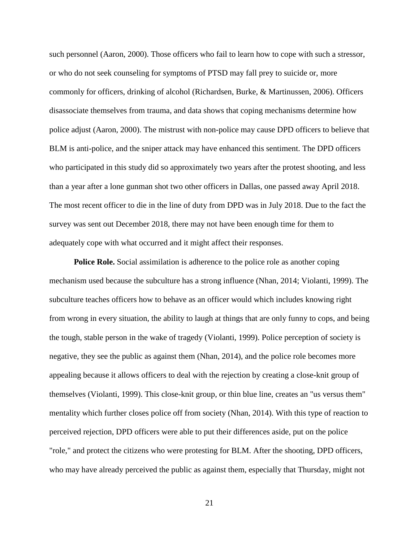such personnel (Aaron, 2000). Those officers who fail to learn how to cope with such a stressor, or who do not seek counseling for symptoms of PTSD may fall prey to suicide or, more commonly for officers, drinking of alcohol (Richardsen, Burke, & Martinussen, 2006). Officers disassociate themselves from trauma, and data shows that coping mechanisms determine how police adjust (Aaron, 2000). The mistrust with non-police may cause DPD officers to believe that BLM is anti-police, and the sniper attack may have enhanced this sentiment. The DPD officers who participated in this study did so approximately two years after the protest shooting, and less than a year after a lone gunman shot two other officers in Dallas, one passed away April 2018. The most recent officer to die in the line of duty from DPD was in July 2018. Due to the fact the survey was sent out December 2018, there may not have been enough time for them to adequately cope with what occurred and it might affect their responses.

**Police Role.** Social assimilation is adherence to the police role as another coping mechanism used because the subculture has a strong influence (Nhan, 2014; Violanti, 1999). The subculture teaches officers how to behave as an officer would which includes knowing right from wrong in every situation, the ability to laugh at things that are only funny to cops, and being the tough, stable person in the wake of tragedy (Violanti, 1999). Police perception of society is negative, they see the public as against them (Nhan, 2014), and the police role becomes more appealing because it allows officers to deal with the rejection by creating a close-knit group of themselves (Violanti, 1999). This close-knit group, or thin blue line, creates an "us versus them" mentality which further closes police off from society (Nhan, 2014). With this type of reaction to perceived rejection, DPD officers were able to put their differences aside, put on the police "role," and protect the citizens who were protesting for BLM. After the shooting, DPD officers, who may have already perceived the public as against them, especially that Thursday, might not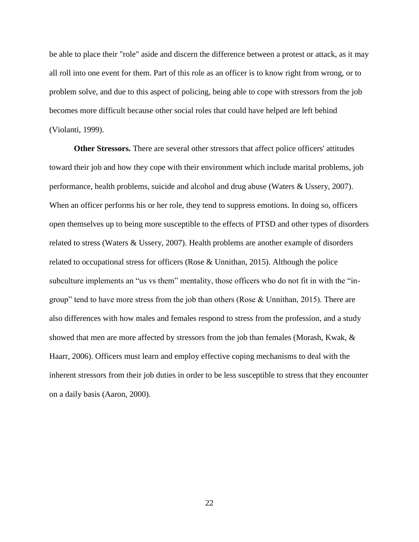be able to place their "role" aside and discern the difference between a protest or attack, as it may all roll into one event for them. Part of this role as an officer is to know right from wrong, or to problem solve, and due to this aspect of policing, being able to cope with stressors from the job becomes more difficult because other social roles that could have helped are left behind (Violanti, 1999).

**Other Stressors.** There are several other stressors that affect police officers' attitudes toward their job and how they cope with their environment which include marital problems, job performance, health problems, suicide and alcohol and drug abuse (Waters & Ussery, 2007). When an officer performs his or her role, they tend to suppress emotions. In doing so, officers open themselves up to being more susceptible to the effects of PTSD and other types of disorders related to stress (Waters & Ussery, 2007). Health problems are another example of disorders related to occupational stress for officers (Rose & Unnithan, 2015). Although the police subculture implements an "us vs them" mentality, those officers who do not fit in with the "ingroup" tend to have more stress from the job than others (Rose & Unnithan, 2015). There are also differences with how males and females respond to stress from the profession, and a study showed that men are more affected by stressors from the job than females (Morash, Kwak, & Haarr, 2006). Officers must learn and employ effective coping mechanisms to deal with the inherent stressors from their job duties in order to be less susceptible to stress that they encounter on a daily basis (Aaron, 2000).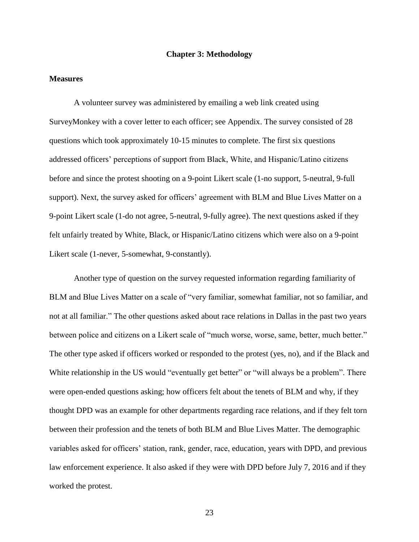## **Chapter 3: Methodology**

## **Measures**

A volunteer survey was administered by emailing a web link created using SurveyMonkey with a cover letter to each officer; see Appendix. The survey consisted of 28 questions which took approximately 10-15 minutes to complete. The first six questions addressed officers' perceptions of support from Black, White, and Hispanic/Latino citizens before and since the protest shooting on a 9-point Likert scale (1-no support, 5-neutral, 9-full support). Next, the survey asked for officers' agreement with BLM and Blue Lives Matter on a 9-point Likert scale (1-do not agree, 5-neutral, 9-fully agree). The next questions asked if they felt unfairly treated by White, Black, or Hispanic/Latino citizens which were also on a 9-point Likert scale (1-never, 5-somewhat, 9-constantly).

Another type of question on the survey requested information regarding familiarity of BLM and Blue Lives Matter on a scale of "very familiar, somewhat familiar, not so familiar, and not at all familiar." The other questions asked about race relations in Dallas in the past two years between police and citizens on a Likert scale of "much worse, worse, same, better, much better." The other type asked if officers worked or responded to the protest (yes, no), and if the Black and White relationship in the US would "eventually get better" or "will always be a problem". There were open-ended questions asking; how officers felt about the tenets of BLM and why, if they thought DPD was an example for other departments regarding race relations, and if they felt torn between their profession and the tenets of both BLM and Blue Lives Matter. The demographic variables asked for officers' station, rank, gender, race, education, years with DPD, and previous law enforcement experience. It also asked if they were with DPD before July 7, 2016 and if they worked the protest.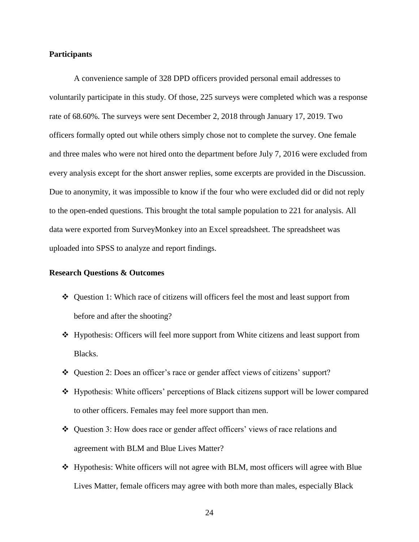## **Participants**

A convenience sample of 328 DPD officers provided personal email addresses to voluntarily participate in this study. Of those, 225 surveys were completed which was a response rate of 68.60%. The surveys were sent December 2, 2018 through January 17, 2019. Two officers formally opted out while others simply chose not to complete the survey. One female and three males who were not hired onto the department before July 7, 2016 were excluded from every analysis except for the short answer replies, some excerpts are provided in the Discussion. Due to anonymity, it was impossible to know if the four who were excluded did or did not reply to the open-ended questions. This brought the total sample population to 221 for analysis. All data were exported from SurveyMonkey into an Excel spreadsheet. The spreadsheet was uploaded into SPSS to analyze and report findings.

# **Research Questions & Outcomes**

- Question 1: Which race of citizens will officers feel the most and least support from before and after the shooting?
- Hypothesis: Officers will feel more support from White citizens and least support from Blacks.
- Question 2: Does an officer's race or gender affect views of citizens' support?
- Hypothesis: White officers' perceptions of Black citizens support will be lower compared to other officers. Females may feel more support than men.
- Question 3: How does race or gender affect officers' views of race relations and agreement with BLM and Blue Lives Matter?
- Hypothesis: White officers will not agree with BLM, most officers will agree with Blue Lives Matter, female officers may agree with both more than males, especially Black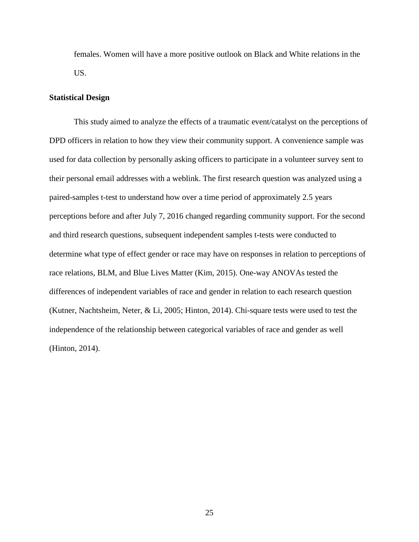females. Women will have a more positive outlook on Black and White relations in the US.

## **Statistical Design**

This study aimed to analyze the effects of a traumatic event/catalyst on the perceptions of DPD officers in relation to how they view their community support. A convenience sample was used for data collection by personally asking officers to participate in a volunteer survey sent to their personal email addresses with a weblink. The first research question was analyzed using a paired-samples t-test to understand how over a time period of approximately 2.5 years perceptions before and after July 7, 2016 changed regarding community support. For the second and third research questions, subsequent independent samples t-tests were conducted to determine what type of effect gender or race may have on responses in relation to perceptions of race relations, BLM, and Blue Lives Matter (Kim, 2015). One-way ANOVAs tested the differences of independent variables of race and gender in relation to each research question (Kutner, Nachtsheim, Neter, & Li, 2005; Hinton, 2014). Chi-square tests were used to test the independence of the relationship between categorical variables of race and gender as well (Hinton, 2014).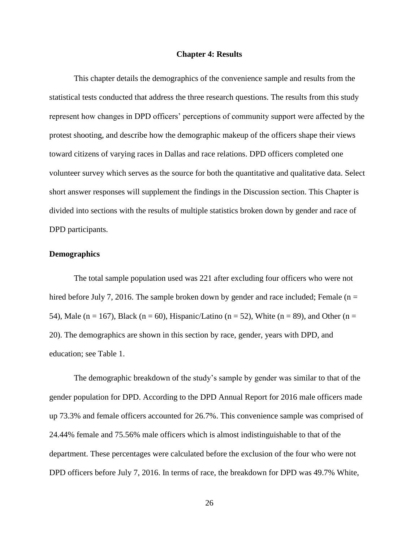#### **Chapter 4: Results**

This chapter details the demographics of the convenience sample and results from the statistical tests conducted that address the three research questions. The results from this study represent how changes in DPD officers' perceptions of community support were affected by the protest shooting, and describe how the demographic makeup of the officers shape their views toward citizens of varying races in Dallas and race relations. DPD officers completed one volunteer survey which serves as the source for both the quantitative and qualitative data. Select short answer responses will supplement the findings in the Discussion section. This Chapter is divided into sections with the results of multiple statistics broken down by gender and race of DPD participants.

## **Demographics**

The total sample population used was 221 after excluding four officers who were not hired before July 7, 2016. The sample broken down by gender and race included; Female ( $n =$ 54), Male (n = 167), Black (n = 60), Hispanic/Latino (n = 52), White (n = 89), and Other (n = 20). The demographics are shown in this section by race, gender, years with DPD, and education; see Table 1.

The demographic breakdown of the study's sample by gender was similar to that of the gender population for DPD. According to the DPD Annual Report for 2016 male officers made up 73.3% and female officers accounted for 26.7%. This convenience sample was comprised of 24.44% female and 75.56% male officers which is almost indistinguishable to that of the department. These percentages were calculated before the exclusion of the four who were not DPD officers before July 7, 2016. In terms of race, the breakdown for DPD was 49.7% White,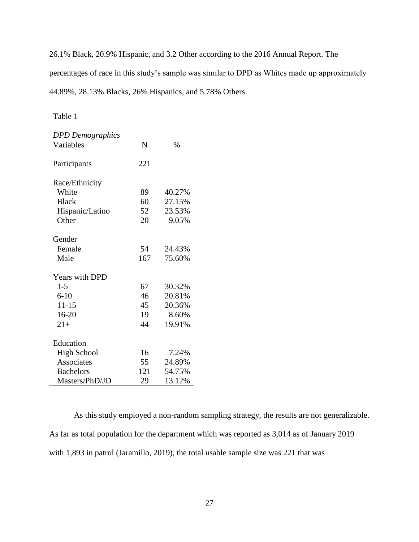26.1% Black, 20.9% Hispanic, and 3.2 Other according to the 2016 Annual Report. The percentages of race in this study's sample was similar to DPD as Whites made up approximately 44.89%, 28.13% Blacks, 26% Hispanics, and 5.78% Others.

Table 1

| <b>DPD</b> Demographics |     |        |
|-------------------------|-----|--------|
| Variables               | N   | $\%$   |
|                         |     |        |
| Participants            | 221 |        |
|                         |     |        |
| Race/Ethnicity          |     |        |
| White                   | 89  | 40.27% |
| <b>Black</b>            | 60  | 27.15% |
| Hispanic/Latino         | 52  | 23.53% |
| Other                   | 20  | 9.05%  |
|                         |     |        |
| Gender                  |     |        |
| Female                  | 54  | 24.43% |
| Male                    | 167 | 75.60% |
| <b>Years with DPD</b>   |     |        |
|                         |     |        |
| $1 - 5$                 | 67  | 30.32% |
| $6 - 10$                | 46  | 20.81% |
| $11 - 15$               | 45  | 20.36% |
| $16 - 20$               | 19  | 8.60%  |
| $21+$                   | 44  | 19.91% |
|                         |     |        |
| Education               |     |        |
| <b>High School</b>      | 16  | 7.24%  |
| Associates              | 55  | 24.89% |
| <b>Bachelors</b>        | 121 | 54.75% |
| Masters/PhD/JD          | 29  | 13.12% |

As this study employed a non-random sampling strategy, the results are not generalizable. As far as total population for the department which was reported as 3,014 as of January 2019 with 1,893 in patrol (Jaramillo, 2019), the total usable sample size was 221 that was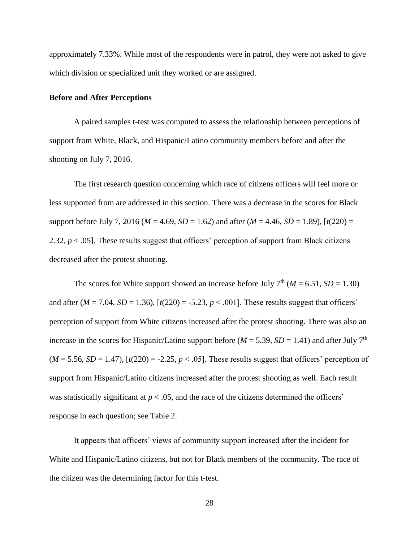approximately 7.33%. While most of the respondents were in patrol, they were not asked to give which division or specialized unit they worked or are assigned.

## **Before and After Perceptions**

A paired samples t-test was computed to assess the relationship between perceptions of support from White, Black, and Hispanic/Latino community members before and after the shooting on July 7, 2016.

The first research question concerning which race of citizens officers will feel more or less supported from are addressed in this section. There was a decrease in the scores for Black support before July 7, 2016 ( $M = 4.69$ ,  $SD = 1.62$ ) and after ( $M = 4.46$ ,  $SD = 1.89$ ),  $\lceil t(220) =$ 2.32,  $p < .05$ ]. These results suggest that officers' perception of support from Black citizens decreased after the protest shooting.

The scores for White support showed an increase before July  $7<sup>th</sup>$  ( $M = 6.51$ ,  $SD = 1.30$ ) and after  $(M = 7.04, SD = 1.36)$ ,  $[t(220) = -5.23, p < .001]$ . These results suggest that officers' perception of support from White citizens increased after the protest shooting. There was also an increase in the scores for Hispanic/Latino support before ( $M = 5.39$ ,  $SD = 1.41$ ) and after July 7<sup>th</sup>  $(M = 5.56, SD = 1.47)$ ,  $\lbrack t(220) = -2.25, p < .05 \rbrack$ . These results suggest that officers' perception of support from Hispanic/Latino citizens increased after the protest shooting as well. Each result was statistically significant at  $p < .05$ , and the race of the citizens determined the officers' response in each question; see Table 2.

It appears that officers' views of community support increased after the incident for White and Hispanic/Latino citizens, but not for Black members of the community. The race of the citizen was the determining factor for this t-test.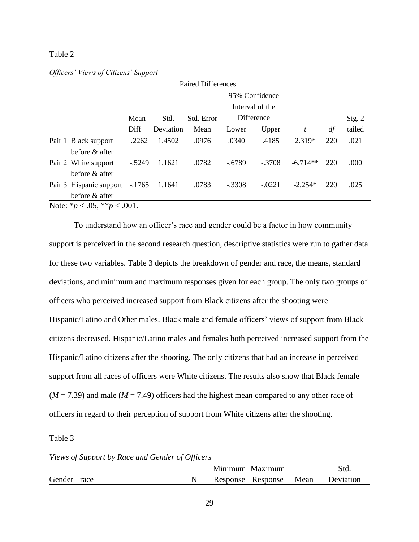## Table 2

|                                                                   |         |           |            |          | 95% Confidence  |            |     |        |
|-------------------------------------------------------------------|---------|-----------|------------|----------|-----------------|------------|-----|--------|
|                                                                   |         |           |            |          | Interval of the |            |     |        |
|                                                                   | Mean    | Std.      | Std. Error |          | Difference      |            |     | Sig. 2 |
|                                                                   | Diff    | Deviation | Mean       | Lower    | Upper           | t          | df  | tailed |
| Pair 1 Black support                                              | .2262   | 1.4502    | .0976      | .0340    | .4185           | 2.319*     | 220 | .021   |
| before & after                                                    |         |           |            |          |                 |            |     |        |
| Pair 2 White support                                              | $-5249$ | 1.1621    | .0782      | $-.6789$ | $-.3708$        | $-6.714**$ | 220 | .000   |
| before $\&$ after                                                 |         |           |            |          |                 |            |     |        |
| Pair 3 Hispanic support -.1765                                    |         | 1.1641    | .0783      | $-.3308$ | $-.0221$        | $-2.254*$  | 220 | .025   |
| before & after                                                    |         |           |            |          |                 |            |     |        |
| $N_{\alpha}$ $\leftrightarrow$ $\sim$ 05 $\ast$ $\ast$ $\sim$ 001 |         |           |            |          |                 |            |     |        |

#### *Officers' Views of Citizens' Support*

Note: \**p* < .05, \*\**p* < .001.

To understand how an officer's race and gender could be a factor in how community support is perceived in the second research question, descriptive statistics were run to gather data for these two variables. Table 3 depicts the breakdown of gender and race, the means, standard deviations, and minimum and maximum responses given for each group. The only two groups of officers who perceived increased support from Black citizens after the shooting were Hispanic/Latino and Other males. Black male and female officers' views of support from Black citizens decreased. Hispanic/Latino males and females both perceived increased support from the Hispanic/Latino citizens after the shooting. The only citizens that had an increase in perceived support from all races of officers were White citizens. The results also show that Black female  $(M = 7.39)$  and male  $(M = 7.49)$  officers had the highest mean compared to any other race of officers in regard to their perception of support from White citizens after the shooting.

Table 3

|  | Views of Support by Race and Gender of Officers |  |  |
|--|-------------------------------------------------|--|--|
|  |                                                 |  |  |

|                |  | Minimum Maximum   |      | Std.      |
|----------------|--|-------------------|------|-----------|
| Gender<br>race |  | Response Response | Mean | Deviation |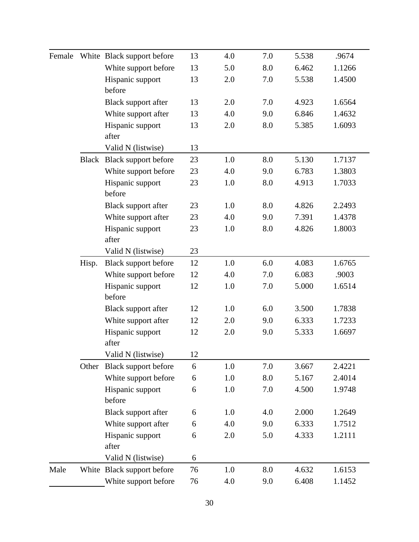| Female |       | White Black support before | 13 | 4.0 | 7.0 | 5.538 | .9674  |
|--------|-------|----------------------------|----|-----|-----|-------|--------|
|        |       | White support before       | 13 | 5.0 | 8.0 | 6.462 | 1.1266 |
|        |       | Hispanic support           | 13 | 2.0 | 7.0 | 5.538 | 1.4500 |
|        |       | before                     |    |     |     |       |        |
|        |       | Black support after        | 13 | 2.0 | 7.0 | 4.923 | 1.6564 |
|        |       | White support after        | 13 | 4.0 | 9.0 | 6.846 | 1.4632 |
|        |       | Hispanic support<br>after  | 13 | 2.0 | 8.0 | 5.385 | 1.6093 |
|        |       | Valid N (listwise)         | 13 |     |     |       |        |
|        |       | Black Black support before | 23 | 1.0 | 8.0 | 5.130 | 1.7137 |
|        |       | White support before       | 23 | 4.0 | 9.0 | 6.783 | 1.3803 |
|        |       | Hispanic support<br>before | 23 | 1.0 | 8.0 | 4.913 | 1.7033 |
|        |       | Black support after        | 23 | 1.0 | 8.0 | 4.826 | 2.2493 |
|        |       | White support after        | 23 | 4.0 | 9.0 | 7.391 | 1.4378 |
| Hisp.  |       | Hispanic support<br>after  | 23 | 1.0 | 8.0 | 4.826 | 1.8003 |
|        |       | Valid N (listwise)         | 23 |     |     |       |        |
|        |       | Black support before       | 12 | 1.0 | 6.0 | 4.083 | 1.6765 |
|        |       | White support before       | 12 | 4.0 | 7.0 | 6.083 | .9003  |
|        |       | Hispanic support           | 12 | 1.0 | 7.0 | 5.000 | 1.6514 |
|        |       | before                     |    |     |     |       |        |
|        |       | Black support after        | 12 | 1.0 | 6.0 | 3.500 | 1.7838 |
|        |       | White support after        | 12 | 2.0 | 9.0 | 6.333 | 1.7233 |
|        |       | Hispanic support           | 12 | 2.0 | 9.0 | 5.333 | 1.6697 |
|        |       | after                      |    |     |     |       |        |
|        |       | Valid N (listwise)         | 12 |     |     |       |        |
|        | Other | Black support before       | 6  | 1.0 | 7.0 | 3.667 | 2.4221 |
|        |       | White support before       | 6  | 1.0 | 8.0 | 5.167 | 2.4014 |
|        |       | Hispanic support<br>before | 6  | 1.0 | 7.0 | 4.500 | 1.9748 |
|        |       | Black support after        | 6  | 1.0 | 4.0 | 2.000 | 1.2649 |
|        |       | White support after        | 6  | 4.0 | 9.0 | 6.333 | 1.7512 |
|        |       | Hispanic support<br>after  | 6  | 2.0 | 5.0 | 4.333 | 1.2111 |
|        |       | Valid N (listwise)         | 6  |     |     |       |        |
| Male   |       | White Black support before | 76 | 1.0 | 8.0 | 4.632 | 1.6153 |
|        |       | White support before       | 76 | 4.0 | 9.0 | 6.408 | 1.1452 |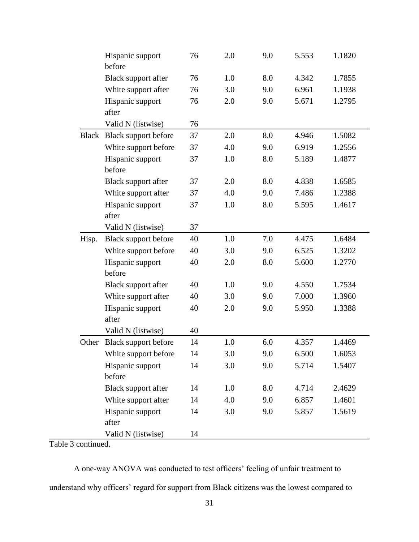|       | Hispanic support<br>before | 76 | 2.0 | 9.0 | 5.553 | 1.1820 |
|-------|----------------------------|----|-----|-----|-------|--------|
|       | Black support after        | 76 | 1.0 | 8.0 | 4.342 | 1.7855 |
|       | White support after        | 76 | 3.0 | 9.0 | 6.961 | 1.1938 |
|       | Hispanic support<br>after  | 76 | 2.0 | 9.0 | 5.671 | 1.2795 |
|       | Valid N (listwise)         | 76 |     |     |       |        |
|       | Black Black support before | 37 | 2.0 | 8.0 | 4.946 | 1.5082 |
|       | White support before       | 37 | 4.0 | 9.0 | 6.919 | 1.2556 |
|       | Hispanic support           | 37 | 1.0 | 8.0 | 5.189 | 1.4877 |
|       | before                     |    |     |     |       |        |
|       | Black support after        | 37 | 2.0 | 8.0 | 4.838 | 1.6585 |
|       | White support after        | 37 | 4.0 | 9.0 | 7.486 | 1.2388 |
|       | Hispanic support           | 37 | 1.0 | 8.0 | 5.595 | 1.4617 |
|       | after                      |    |     |     |       |        |
|       | Valid N (listwise)         | 37 |     |     |       |        |
| Hisp. | Black support before       | 40 | 1.0 | 7.0 | 4.475 | 1.6484 |
|       | White support before       | 40 | 3.0 | 9.0 | 6.525 | 1.3202 |
|       | Hispanic support<br>before | 40 | 2.0 | 8.0 | 5.600 | 1.2770 |
|       | Black support after        | 40 | 1.0 | 9.0 | 4.550 | 1.7534 |
|       | White support after        | 40 | 3.0 | 9.0 | 7.000 | 1.3960 |
|       | Hispanic support           | 40 | 2.0 | 9.0 | 5.950 | 1.3388 |
|       | after                      |    |     |     |       |        |
|       | Valid N (listwise)         | 40 |     |     |       |        |
| Other | Black support before       | 14 | 1.0 | 6.0 | 4.357 | 1.4469 |
|       | White support before       | 14 | 3.0 | 9.0 | 6.500 | 1.6053 |
|       | Hispanic support           | 14 | 3.0 | 9.0 | 5.714 | 1.5407 |
|       | before                     |    |     |     |       |        |
|       | Black support after        | 14 | 1.0 | 8.0 | 4.714 | 2.4629 |
|       | White support after        | 14 | 4.0 | 9.0 | 6.857 | 1.4601 |
|       | Hispanic support<br>after  | 14 | 3.0 | 9.0 | 5.857 | 1.5619 |
|       | Valid N (listwise)         | 14 |     |     |       |        |

Table 3 continued.

A one-way ANOVA was conducted to test officers' feeling of unfair treatment to understand why officers' regard for support from Black citizens was the lowest compared to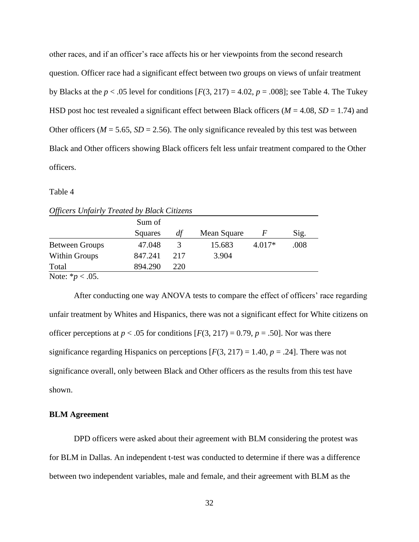other races, and if an officer's race affects his or her viewpoints from the second research question. Officer race had a significant effect between two groups on views of unfair treatment by Blacks at the  $p < .05$  level for conditions  $[F(3, 217) = 4.02, p = .008]$ ; see Table 4. The Tukey HSD post hoc test revealed a significant effect between Black officers (*M* = 4.08, *SD* = 1.74) and Other officers ( $M = 5.65$ ,  $SD = 2.56$ ). The only significance revealed by this test was between Black and Other officers showing Black officers felt less unfair treatment compared to the Other officers.

# Table 4

|                       | Sum of  |     |             |          |      |
|-----------------------|---------|-----|-------------|----------|------|
|                       | Squares | df  | Mean Square | F        | Sig. |
| <b>Between Groups</b> | 47.048  | 3   | 15.683      | $4.017*$ | .008 |
| Within Groups         | 847.241 | 217 | 3.904       |          |      |
| Total                 | 894.290 | 220 |             |          |      |
| Note: $* p < .05$ .   |         |     |             |          |      |

|  | <b>Officers Unfairly Treated by Black Citizens</b> |  |
|--|----------------------------------------------------|--|
|  |                                                    |  |

After conducting one way ANOVA tests to compare the effect of officers' race regarding unfair treatment by Whites and Hispanics, there was not a significant effect for White citizens on officer perceptions at  $p < .05$  for conditions  $[F(3, 217) = 0.79, p = .50]$ . Nor was there significance regarding Hispanics on perceptions  $[F(3, 217) = 1.40, p = .24]$ . There was not significance overall, only between Black and Other officers as the results from this test have shown.

## **BLM Agreement**

DPD officers were asked about their agreement with BLM considering the protest was for BLM in Dallas. An independent t-test was conducted to determine if there was a difference between two independent variables, male and female, and their agreement with BLM as the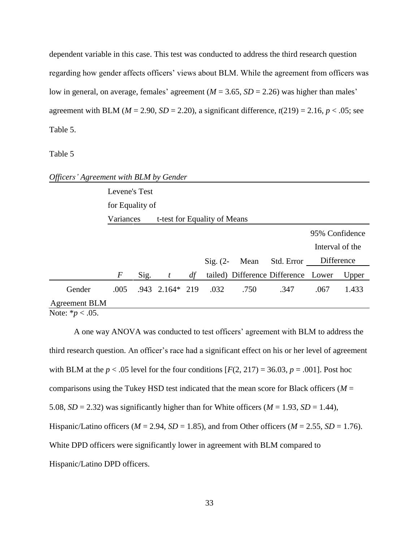dependent variable in this case. This test was conducted to address the third research question regarding how gender affects officers' views about BLM. While the agreement from officers was low in general, on average, females' agreement (*M* = 3.65, *SD* = 2.26) was higher than males' agreement with BLM ( $M = 2.90$ ,  $SD = 2.20$ ), a significant difference,  $t(219) = 2.16$ ,  $p < .05$ ; see Table 5.

#### Table 5

| Officers' Agreement with BLM by Gender      |                                           |      |                     |    |            |      |                                     |                 |       |
|---------------------------------------------|-------------------------------------------|------|---------------------|----|------------|------|-------------------------------------|-----------------|-------|
|                                             | Levene's Test                             |      |                     |    |            |      |                                     |                 |       |
|                                             | for Equality of                           |      |                     |    |            |      |                                     |                 |       |
|                                             | t-test for Equality of Means<br>Variances |      |                     |    |            |      |                                     |                 |       |
|                                             |                                           |      |                     |    |            |      |                                     | 95% Confidence  |       |
|                                             |                                           |      |                     |    |            |      |                                     | Interval of the |       |
|                                             |                                           |      |                     |    | $Sig. (2-$ | Mean | Std. Error                          | Difference      |       |
|                                             | $\,F$                                     | Sig. | t                   | df |            |      | tailed) Difference Difference Lower |                 | Upper |
| Gender                                      | .005                                      |      | $.943$ $2.164*$ 219 |    | .032       | .750 | .347                                | .067            | 1.433 |
| <b>Agreement BLM</b><br>Note: $* p < .05$ . |                                           |      |                     |    |            |      |                                     |                 |       |
|                                             |                                           |      |                     |    |            |      |                                     |                 |       |

A one way ANOVA was conducted to test officers' agreement with BLM to address the third research question. An officer's race had a significant effect on his or her level of agreement with BLM at the  $p < .05$  level for the four conditions  $[F(2, 217) = 36.03, p = .001]$ . Post hoc comparisons using the Tukey HSD test indicated that the mean score for Black officers ( $M =$ 5.08,  $SD = 2.32$ ) was significantly higher than for White officers ( $M = 1.93$ ,  $SD = 1.44$ ), Hispanic/Latino officers ( $M = 2.94$ ,  $SD = 1.85$ ), and from Other officers ( $M = 2.55$ ,  $SD = 1.76$ ). White DPD officers were significantly lower in agreement with BLM compared to Hispanic/Latino DPD officers.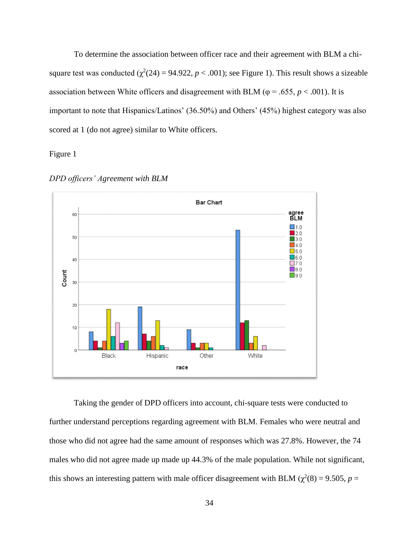To determine the association between officer race and their agreement with BLM a chisquare test was conducted  $(\chi^2(24) = 94.922, p < .001)$ ; see Figure 1). This result shows a sizeable association between White officers and disagreement with BLM ( $\varphi = .655$ ,  $p < .001$ ). It is important to note that Hispanics/Latinos' (36.50%) and Others' (45%) highest category was also scored at 1 (do not agree) similar to White officers.

Figure 1





Taking the gender of DPD officers into account, chi-square tests were conducted to further understand perceptions regarding agreement with BLM. Females who were neutral and those who did not agree had the same amount of responses which was 27.8%. However, the 74 males who did not agree made up made up 44.3% of the male population. While not significant, this shows an interesting pattern with male officer disagreement with BLM ( $\chi^2(8) = 9.505$ ,  $p =$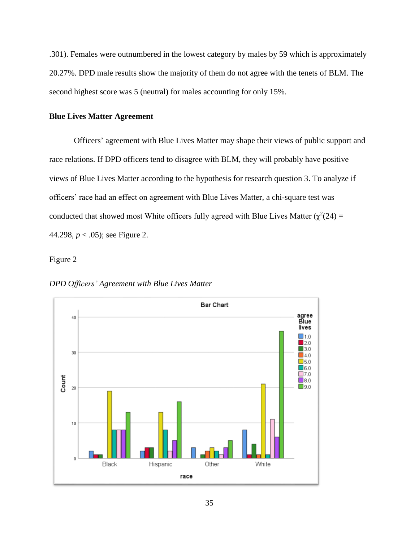.301). Females were outnumbered in the lowest category by males by 59 which is approximately 20.27%. DPD male results show the majority of them do not agree with the tenets of BLM. The second highest score was 5 (neutral) for males accounting for only 15%.

## **Blue Lives Matter Agreement**

Officers' agreement with Blue Lives Matter may shape their views of public support and race relations. If DPD officers tend to disagree with BLM, they will probably have positive views of Blue Lives Matter according to the hypothesis for research question 3. To analyze if officers' race had an effect on agreement with Blue Lives Matter, a chi-square test was conducted that showed most White officers fully agreed with Blue Lives Matter ( $\chi^2(24)$  = 44.298, *p* < .05); see Figure 2.

Figure 2

*DPD Officers' Agreement with Blue Lives Matter*

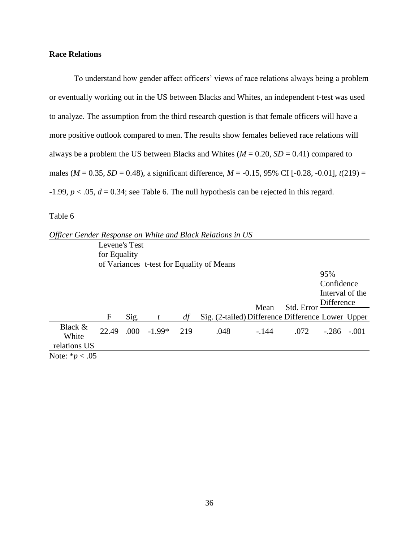# **Race Relations**

To understand how gender affect officers' views of race relations always being a problem or eventually working out in the US between Blacks and Whites, an independent t-test was used to analyze. The assumption from the third research question is that female officers will have a more positive outlook compared to men. The results show females believed race relations will always be a problem the US between Blacks and Whites ( $M = 0.20$ ,  $SD = 0.41$ ) compared to males ( $M = 0.35$ ,  $SD = 0.48$ ), a significant difference,  $M = -0.15$ , 95% CI [ $-0.28$ ,  $-0.01$ ],  $t(219) =$  $-1.99$ ,  $p < 0.05$ ,  $d = 0.34$ ; see Table 6. The null hypothesis can be rejected in this regard.

Table 6

| Officer Gender Response on White and Black Relations in US |               |      |          |     |                                                   |         |            |                 |         |
|------------------------------------------------------------|---------------|------|----------|-----|---------------------------------------------------|---------|------------|-----------------|---------|
|                                                            | Levene's Test |      |          |     |                                                   |         |            |                 |         |
|                                                            | for Equality  |      |          |     |                                                   |         |            |                 |         |
|                                                            |               |      |          |     | of Variances t-test for Equality of Means         |         |            |                 |         |
|                                                            |               |      |          |     |                                                   |         |            | 95%             |         |
|                                                            |               |      |          |     |                                                   |         |            | Confidence      |         |
|                                                            |               |      |          |     |                                                   |         |            | Interval of the |         |
|                                                            |               |      |          |     |                                                   | Mean    | Std. Error | Difference      |         |
|                                                            | F             | Sig. |          | df  | Sig. (2-tailed) Difference Difference Lower Upper |         |            |                 |         |
|                                                            |               |      |          |     |                                                   |         |            |                 |         |
| Black &                                                    | 22.49         | .000 | $-1.99*$ | 219 | .048                                              | $-.144$ | .072       | $-.286$         | $-.001$ |
| White                                                      |               |      |          |     |                                                   |         |            |                 |         |
| relations US                                               |               |      |          |     |                                                   |         |            |                 |         |
| Note: $* p < .05$                                          |               |      |          |     |                                                   |         |            |                 |         |

*Officer Gender Response on White and Black Relations in US*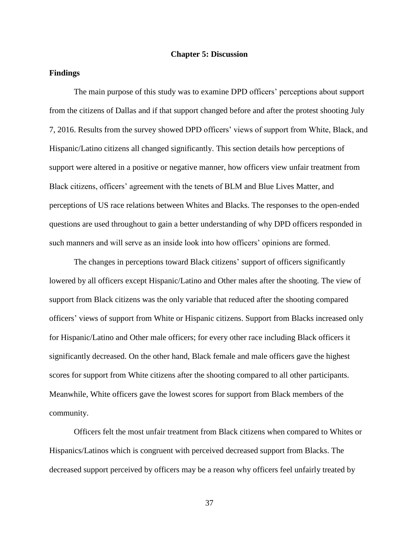#### **Chapter 5: Discussion**

## **Findings**

The main purpose of this study was to examine DPD officers' perceptions about support from the citizens of Dallas and if that support changed before and after the protest shooting July 7, 2016. Results from the survey showed DPD officers' views of support from White, Black, and Hispanic/Latino citizens all changed significantly. This section details how perceptions of support were altered in a positive or negative manner, how officers view unfair treatment from Black citizens, officers' agreement with the tenets of BLM and Blue Lives Matter, and perceptions of US race relations between Whites and Blacks. The responses to the open-ended questions are used throughout to gain a better understanding of why DPD officers responded in such manners and will serve as an inside look into how officers' opinions are formed.

The changes in perceptions toward Black citizens' support of officers significantly lowered by all officers except Hispanic/Latino and Other males after the shooting. The view of support from Black citizens was the only variable that reduced after the shooting compared officers' views of support from White or Hispanic citizens. Support from Blacks increased only for Hispanic/Latino and Other male officers; for every other race including Black officers it significantly decreased. On the other hand, Black female and male officers gave the highest scores for support from White citizens after the shooting compared to all other participants. Meanwhile, White officers gave the lowest scores for support from Black members of the community.

Officers felt the most unfair treatment from Black citizens when compared to Whites or Hispanics/Latinos which is congruent with perceived decreased support from Blacks. The decreased support perceived by officers may be a reason why officers feel unfairly treated by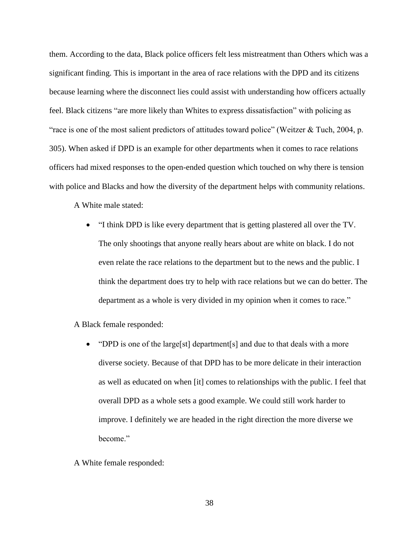them. According to the data, Black police officers felt less mistreatment than Others which was a significant finding. This is important in the area of race relations with the DPD and its citizens because learning where the disconnect lies could assist with understanding how officers actually feel. Black citizens "are more likely than Whites to express dissatisfaction" with policing as "race is one of the most salient predictors of attitudes toward police" (Weitzer  $&$  Tuch, 2004, p. 305). When asked if DPD is an example for other departments when it comes to race relations officers had mixed responses to the open-ended question which touched on why there is tension with police and Blacks and how the diversity of the department helps with community relations.

A White male stated:

 "I think DPD is like every department that is getting plastered all over the TV. The only shootings that anyone really hears about are white on black. I do not even relate the race relations to the department but to the news and the public. I think the department does try to help with race relations but we can do better. The department as a whole is very divided in my opinion when it comes to race."

A Black female responded:

- "DPD is one of the large[st] department[s] and due to that deals with a more diverse society. Because of that DPD has to be more delicate in their interaction as well as educated on when [it] comes to relationships with the public. I feel that overall DPD as a whole sets a good example. We could still work harder to improve. I definitely we are headed in the right direction the more diverse we become."
- A White female responded: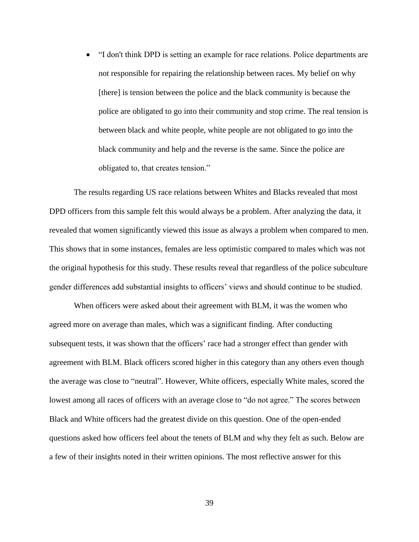"I don't think DPD is setting an example for race relations. Police departments are not responsible for repairing the relationship between races. My belief on why [there] is tension between the police and the black community is because the police are obligated to go into their community and stop crime. The real tension is between black and white people, white people are not obligated to go into the black community and help and the reverse is the same. Since the police are obligated to, that creates tension."

The results regarding US race relations between Whites and Blacks revealed that most DPD officers from this sample felt this would always be a problem. After analyzing the data, it revealed that women significantly viewed this issue as always a problem when compared to men. This shows that in some instances, females are less optimistic compared to males which was not the original hypothesis for this study. These results reveal that regardless of the police subculture gender differences add substantial insights to officers' views and should continue to be studied.

When officers were asked about their agreement with BLM, it was the women who agreed more on average than males, which was a significant finding. After conducting subsequent tests, it was shown that the officers' race had a stronger effect than gender with agreement with BLM. Black officers scored higher in this category than any others even though the average was close to "neutral". However, White officers, especially White males, scored the lowest among all races of officers with an average close to "do not agree." The scores between Black and White officers had the greatest divide on this question. One of the open-ended questions asked how officers feel about the tenets of BLM and why they felt as such. Below are a few of their insights noted in their written opinions. The most reflective answer for this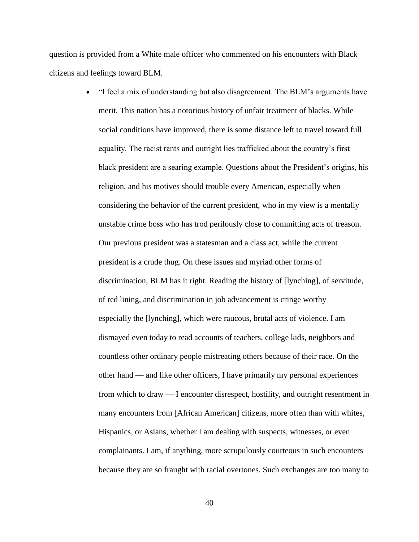question is provided from a White male officer who commented on his encounters with Black citizens and feelings toward BLM.

> "I feel a mix of understanding but also disagreement. The BLM's arguments have merit. This nation has a notorious history of unfair treatment of blacks. While social conditions have improved, there is some distance left to travel toward full equality. The racist rants and outright lies trafficked about the country's first black president are a searing example. Questions about the President's origins, his religion, and his motives should trouble every American, especially when considering the behavior of the current president, who in my view is a mentally unstable crime boss who has trod perilously close to committing acts of treason. Our previous president was a statesman and a class act, while the current president is a crude thug. On these issues and myriad other forms of discrimination, BLM has it right. Reading the history of [lynching], of servitude, of red lining, and discrimination in job advancement is cringe worthy especially the [lynching], which were raucous, brutal acts of violence. I am dismayed even today to read accounts of teachers, college kids, neighbors and countless other ordinary people mistreating others because of their race. On the other hand — and like other officers, I have primarily my personal experiences from which to draw — I encounter disrespect, hostility, and outright resentment in many encounters from [African American] citizens, more often than with whites, Hispanics, or Asians, whether I am dealing with suspects, witnesses, or even complainants. I am, if anything, more scrupulously courteous in such encounters because they are so fraught with racial overtones. Such exchanges are too many to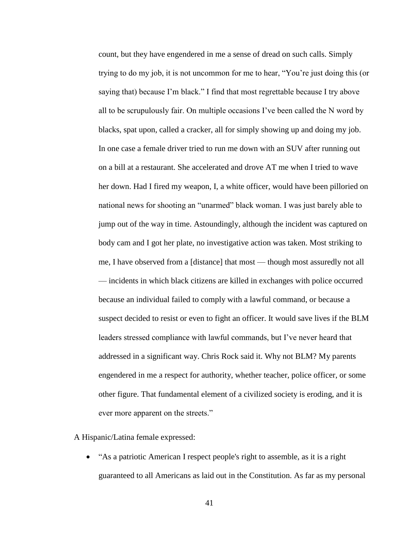count, but they have engendered in me a sense of dread on such calls. Simply trying to do my job, it is not uncommon for me to hear, "You're just doing this (or saying that) because I'm black." I find that most regrettable because I try above all to be scrupulously fair. On multiple occasions I've been called the N word by blacks, spat upon, called a cracker, all for simply showing up and doing my job. In one case a female driver tried to run me down with an SUV after running out on a bill at a restaurant. She accelerated and drove AT me when I tried to wave her down. Had I fired my weapon, I, a white officer, would have been pilloried on national news for shooting an "unarmed" black woman. I was just barely able to jump out of the way in time. Astoundingly, although the incident was captured on body cam and I got her plate, no investigative action was taken. Most striking to me, I have observed from a [distance] that most — though most assuredly not all — incidents in which black citizens are killed in exchanges with police occurred because an individual failed to comply with a lawful command, or because a suspect decided to resist or even to fight an officer. It would save lives if the BLM leaders stressed compliance with lawful commands, but I've never heard that addressed in a significant way. Chris Rock said it. Why not BLM? My parents engendered in me a respect for authority, whether teacher, police officer, or some other figure. That fundamental element of a civilized society is eroding, and it is ever more apparent on the streets."

A Hispanic/Latina female expressed:

 "As a patriotic American I respect people's right to assemble, as it is a right guaranteed to all Americans as laid out in the Constitution. As far as my personal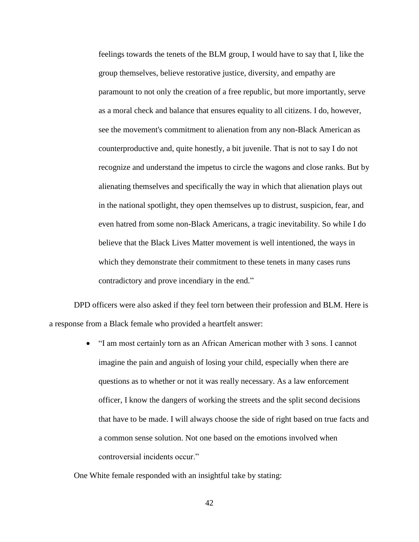feelings towards the tenets of the BLM group, I would have to say that I, like the group themselves, believe restorative justice, diversity, and empathy are paramount to not only the creation of a free republic, but more importantly, serve as a moral check and balance that ensures equality to all citizens. I do, however, see the movement's commitment to alienation from any non-Black American as counterproductive and, quite honestly, a bit juvenile. That is not to say I do not recognize and understand the impetus to circle the wagons and close ranks. But by alienating themselves and specifically the way in which that alienation plays out in the national spotlight, they open themselves up to distrust, suspicion, fear, and even hatred from some non-Black Americans, a tragic inevitability. So while I do believe that the Black Lives Matter movement is well intentioned, the ways in which they demonstrate their commitment to these tenets in many cases runs contradictory and prove incendiary in the end."

DPD officers were also asked if they feel torn between their profession and BLM. Here is a response from a Black female who provided a heartfelt answer:

> "I am most certainly torn as an African American mother with 3 sons. I cannot imagine the pain and anguish of losing your child, especially when there are questions as to whether or not it was really necessary. As a law enforcement officer, I know the dangers of working the streets and the split second decisions that have to be made. I will always choose the side of right based on true facts and a common sense solution. Not one based on the emotions involved when controversial incidents occur."

One White female responded with an insightful take by stating: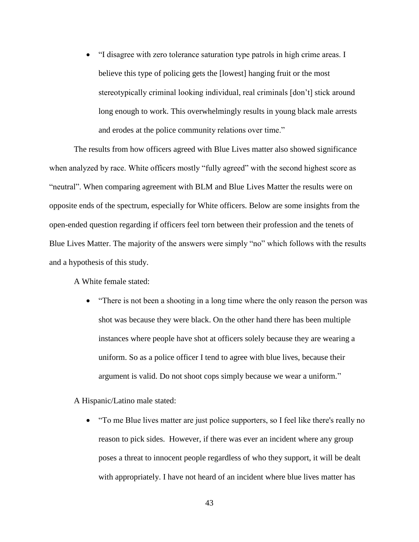"I disagree with zero tolerance saturation type patrols in high crime areas. I believe this type of policing gets the [lowest] hanging fruit or the most stereotypically criminal looking individual, real criminals [don't] stick around long enough to work. This overwhelmingly results in young black male arrests and erodes at the police community relations over time."

The results from how officers agreed with Blue Lives matter also showed significance when analyzed by race. White officers mostly "fully agreed" with the second highest score as "neutral". When comparing agreement with BLM and Blue Lives Matter the results were on opposite ends of the spectrum, especially for White officers. Below are some insights from the open-ended question regarding if officers feel torn between their profession and the tenets of Blue Lives Matter. The majority of the answers were simply "no" which follows with the results and a hypothesis of this study.

A White female stated:

• "There is not been a shooting in a long time where the only reason the person was shot was because they were black. On the other hand there has been multiple instances where people have shot at officers solely because they are wearing a uniform. So as a police officer I tend to agree with blue lives, because their argument is valid. Do not shoot cops simply because we wear a uniform."

A Hispanic/Latino male stated:

• "To me Blue lives matter are just police supporters, so I feel like there's really no reason to pick sides. However, if there was ever an incident where any group poses a threat to innocent people regardless of who they support, it will be dealt with appropriately. I have not heard of an incident where blue lives matter has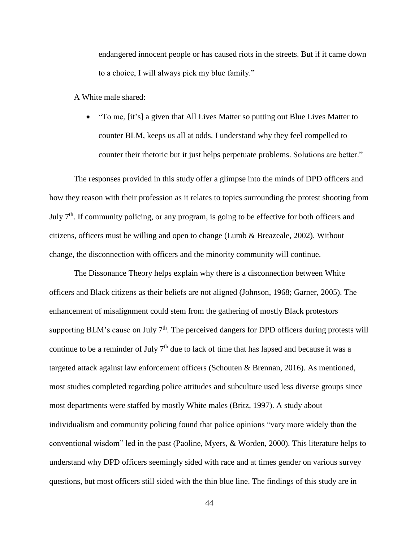endangered innocent people or has caused riots in the streets. But if it came down to a choice, I will always pick my blue family."

A White male shared:

 "To me, [it's] a given that All Lives Matter so putting out Blue Lives Matter to counter BLM, keeps us all at odds. I understand why they feel compelled to counter their rhetoric but it just helps perpetuate problems. Solutions are better."

The responses provided in this study offer a glimpse into the minds of DPD officers and how they reason with their profession as it relates to topics surrounding the protest shooting from July  $7<sup>th</sup>$ . If community policing, or any program, is going to be effective for both officers and citizens, officers must be willing and open to change (Lumb & Breazeale, 2002). Without change, the disconnection with officers and the minority community will continue.

The Dissonance Theory helps explain why there is a disconnection between White officers and Black citizens as their beliefs are not aligned (Johnson, 1968; Garner, 2005). The enhancement of misalignment could stem from the gathering of mostly Black protestors supporting BLM's cause on July  $7<sup>th</sup>$ . The perceived dangers for DPD officers during protests will continue to be a reminder of July  $7<sup>th</sup>$  due to lack of time that has lapsed and because it was a targeted attack against law enforcement officers (Schouten & Brennan, 2016). As mentioned, most studies completed regarding police attitudes and subculture used less diverse groups since most departments were staffed by mostly White males (Britz, 1997). A study about individualism and community policing found that police opinions "vary more widely than the conventional wisdom" led in the past (Paoline, Myers, & Worden, 2000). This literature helps to understand why DPD officers seemingly sided with race and at times gender on various survey questions, but most officers still sided with the thin blue line. The findings of this study are in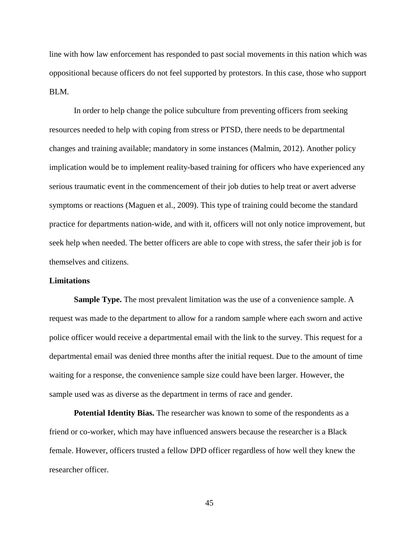line with how law enforcement has responded to past social movements in this nation which was oppositional because officers do not feel supported by protestors. In this case, those who support BLM.

In order to help change the police subculture from preventing officers from seeking resources needed to help with coping from stress or PTSD, there needs to be departmental changes and training available; mandatory in some instances (Malmin, 2012). Another policy implication would be to implement reality-based training for officers who have experienced any serious traumatic event in the commencement of their job duties to help treat or avert adverse symptoms or reactions (Maguen et al., 2009). This type of training could become the standard practice for departments nation-wide, and with it, officers will not only notice improvement, but seek help when needed. The better officers are able to cope with stress, the safer their job is for themselves and citizens.

## **Limitations**

**Sample Type.** The most prevalent limitation was the use of a convenience sample. A request was made to the department to allow for a random sample where each sworn and active police officer would receive a departmental email with the link to the survey. This request for a departmental email was denied three months after the initial request. Due to the amount of time waiting for a response, the convenience sample size could have been larger. However, the sample used was as diverse as the department in terms of race and gender.

**Potential Identity Bias.** The researcher was known to some of the respondents as a friend or co-worker, which may have influenced answers because the researcher is a Black female. However, officers trusted a fellow DPD officer regardless of how well they knew the researcher officer.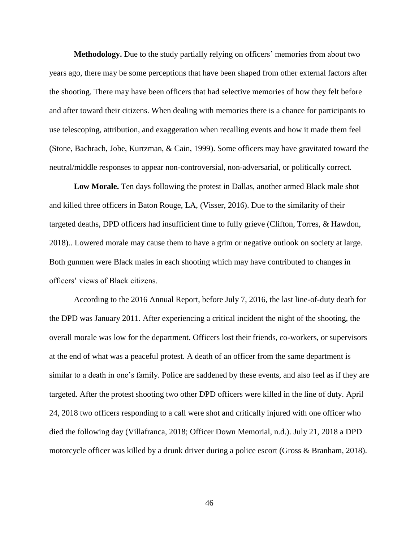**Methodology.** Due to the study partially relying on officers' memories from about two years ago, there may be some perceptions that have been shaped from other external factors after the shooting. There may have been officers that had selective memories of how they felt before and after toward their citizens. When dealing with memories there is a chance for participants to use telescoping, attribution, and exaggeration when recalling events and how it made them feel (Stone, Bachrach, Jobe, Kurtzman, & Cain, 1999). Some officers may have gravitated toward the neutral/middle responses to appear non-controversial, non-adversarial, or politically correct.

**Low Morale.** Ten days following the protest in Dallas, another armed Black male shot and killed three officers in Baton Rouge, LA, (Visser, 2016). Due to the similarity of their targeted deaths, DPD officers had insufficient time to fully grieve (Clifton, Torres, & Hawdon, 2018).. Lowered morale may cause them to have a grim or negative outlook on society at large. Both gunmen were Black males in each shooting which may have contributed to changes in officers' views of Black citizens.

According to the 2016 Annual Report, before July 7, 2016, the last line-of-duty death for the DPD was January 2011. After experiencing a critical incident the night of the shooting, the overall morale was low for the department. Officers lost their friends, co-workers, or supervisors at the end of what was a peaceful protest. A death of an officer from the same department is similar to a death in one's family. Police are saddened by these events, and also feel as if they are targeted. After the protest shooting two other DPD officers were killed in the line of duty. April 24, 2018 two officers responding to a call were shot and critically injured with one officer who died the following day (Villafranca, 2018; Officer Down Memorial, n.d.). July 21, 2018 a DPD motorcycle officer was killed by a drunk driver during a police escort (Gross & Branham, 2018).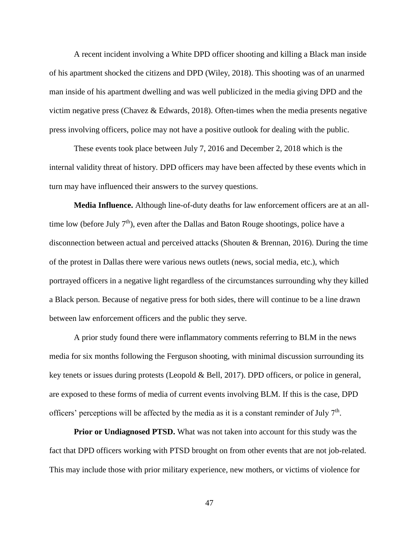A recent incident involving a White DPD officer shooting and killing a Black man inside of his apartment shocked the citizens and DPD (Wiley, 2018). This shooting was of an unarmed man inside of his apartment dwelling and was well publicized in the media giving DPD and the victim negative press (Chavez & Edwards, 2018). Often-times when the media presents negative press involving officers, police may not have a positive outlook for dealing with the public.

These events took place between July 7, 2016 and December 2, 2018 which is the internal validity threat of history. DPD officers may have been affected by these events which in turn may have influenced their answers to the survey questions.

**Media Influence.** Although line-of-duty deaths for law enforcement officers are at an alltime low (before July  $7<sup>th</sup>$ ), even after the Dallas and Baton Rouge shootings, police have a disconnection between actual and perceived attacks (Shouten & Brennan, 2016). During the time of the protest in Dallas there were various news outlets (news, social media, etc.), which portrayed officers in a negative light regardless of the circumstances surrounding why they killed a Black person. Because of negative press for both sides, there will continue to be a line drawn between law enforcement officers and the public they serve.

A prior study found there were inflammatory comments referring to BLM in the news media for six months following the Ferguson shooting, with minimal discussion surrounding its key tenets or issues during protests (Leopold & Bell, 2017). DPD officers, or police in general, are exposed to these forms of media of current events involving BLM. If this is the case, DPD officers' perceptions will be affected by the media as it is a constant reminder of July  $7<sup>th</sup>$ .

**Prior or Undiagnosed PTSD.** What was not taken into account for this study was the fact that DPD officers working with PTSD brought on from other events that are not job-related. This may include those with prior military experience, new mothers, or victims of violence for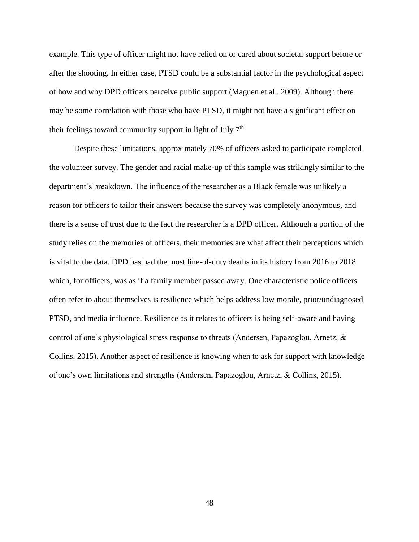example. This type of officer might not have relied on or cared about societal support before or after the shooting. In either case, PTSD could be a substantial factor in the psychological aspect of how and why DPD officers perceive public support (Maguen et al., 2009). Although there may be some correlation with those who have PTSD, it might not have a significant effect on their feelings toward community support in light of July  $7<sup>th</sup>$ .

Despite these limitations, approximately 70% of officers asked to participate completed the volunteer survey. The gender and racial make-up of this sample was strikingly similar to the department's breakdown. The influence of the researcher as a Black female was unlikely a reason for officers to tailor their answers because the survey was completely anonymous, and there is a sense of trust due to the fact the researcher is a DPD officer. Although a portion of the study relies on the memories of officers, their memories are what affect their perceptions which is vital to the data. DPD has had the most line-of-duty deaths in its history from 2016 to 2018 which, for officers, was as if a family member passed away. One characteristic police officers often refer to about themselves is resilience which helps address low morale, prior/undiagnosed PTSD, and media influence. Resilience as it relates to officers is being self-aware and having control of one's physiological stress response to threats (Andersen, Papazoglou, Arnetz, & Collins, 2015). Another aspect of resilience is knowing when to ask for support with knowledge of one's own limitations and strengths (Andersen, Papazoglou, Arnetz, & Collins, 2015).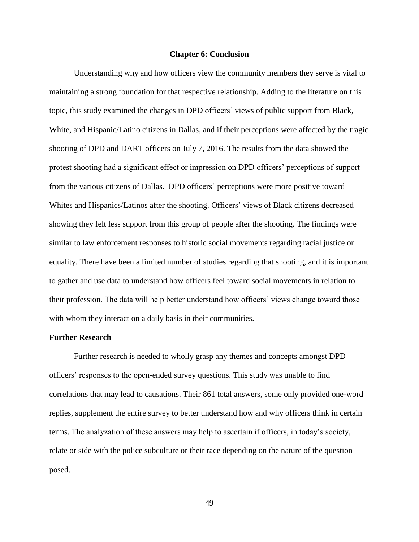#### **Chapter 6: Conclusion**

Understanding why and how officers view the community members they serve is vital to maintaining a strong foundation for that respective relationship. Adding to the literature on this topic, this study examined the changes in DPD officers' views of public support from Black, White, and Hispanic/Latino citizens in Dallas, and if their perceptions were affected by the tragic shooting of DPD and DART officers on July 7, 2016. The results from the data showed the protest shooting had a significant effect or impression on DPD officers' perceptions of support from the various citizens of Dallas. DPD officers' perceptions were more positive toward Whites and Hispanics/Latinos after the shooting. Officers' views of Black citizens decreased showing they felt less support from this group of people after the shooting. The findings were similar to law enforcement responses to historic social movements regarding racial justice or equality. There have been a limited number of studies regarding that shooting, and it is important to gather and use data to understand how officers feel toward social movements in relation to their profession. The data will help better understand how officers' views change toward those with whom they interact on a daily basis in their communities.

# **Further Research**

Further research is needed to wholly grasp any themes and concepts amongst DPD officers' responses to the open-ended survey questions. This study was unable to find correlations that may lead to causations. Their 861 total answers, some only provided one-word replies, supplement the entire survey to better understand how and why officers think in certain terms. The analyzation of these answers may help to ascertain if officers, in today's society, relate or side with the police subculture or their race depending on the nature of the question posed.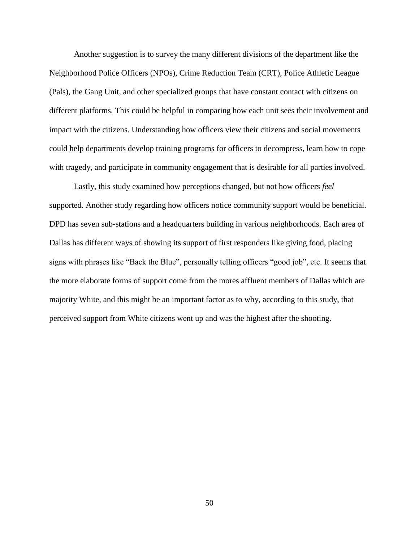Another suggestion is to survey the many different divisions of the department like the Neighborhood Police Officers (NPOs), Crime Reduction Team (CRT), Police Athletic League (Pals), the Gang Unit, and other specialized groups that have constant contact with citizens on different platforms. This could be helpful in comparing how each unit sees their involvement and impact with the citizens. Understanding how officers view their citizens and social movements could help departments develop training programs for officers to decompress, learn how to cope with tragedy, and participate in community engagement that is desirable for all parties involved.

Lastly, this study examined how perceptions changed, but not how officers *feel* supported. Another study regarding how officers notice community support would be beneficial. DPD has seven sub-stations and a headquarters building in various neighborhoods. Each area of Dallas has different ways of showing its support of first responders like giving food, placing signs with phrases like "Back the Blue", personally telling officers "good job", etc. It seems that the more elaborate forms of support come from the mores affluent members of Dallas which are majority White, and this might be an important factor as to why, according to this study, that perceived support from White citizens went up and was the highest after the shooting.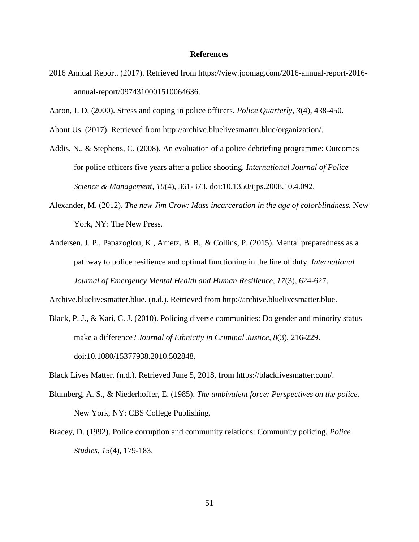## **References**

- 2016 Annual Report. (2017). Retrieved from https://view.joomag.com/2016-annual-report-2016 annual-report/0974310001510064636.
- Aaron, J. D. (2000). Stress and coping in police officers. *Police Quarterly*, *3*(4), 438-450.
- About Us. (2017). Retrieved from http://archive.bluelivesmatter.blue/organization/.
- Addis, N., & Stephens, C. (2008). An evaluation of a police debriefing programme: Outcomes for police officers five years after a police shooting. *International Journal of Police Science & Management, 10*(4), 361-373. doi:10.1350/ijps.2008.10.4.092.
- Alexander, M. (2012). *The new Jim Crow: Mass incarceration in the age of colorblindness.* New York, NY: The New Press.
- Andersen, J. P., Papazoglou, K., Arnetz, B. B., & Collins, P. (2015). Mental preparedness as a pathway to police resilience and optimal functioning in the line of duty. *International Journal of Emergency Mental Health and Human Resilience, 17*(3), 624-627.

Archive.bluelivesmatter.blue. (n.d.). Retrieved from http://archive.bluelivesmatter.blue.

- Black, P. J., & Kari, C. J. (2010). Policing diverse communities: Do gender and minority status make a difference? *Journal of Ethnicity in Criminal Justice, 8*(3), 216-229. doi:10.1080/15377938.2010.502848.
- Black Lives Matter. (n.d.). Retrieved June 5, 2018, from https://blacklivesmatter.com/.
- Blumberg, A. S., & Niederhoffer, E. (1985). *The ambivalent force: Perspectives on the police.* New York, NY: CBS College Publishing.
- Bracey, D. (1992). Police corruption and community relations: Community policing. *Police Studies, 15*(4), 179-183.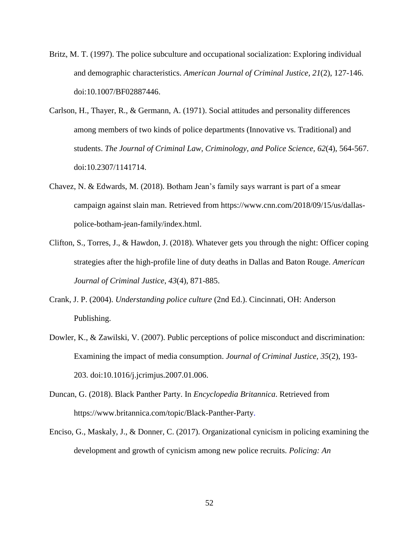- Britz, M. T. (1997). The police subculture and occupational socialization: Exploring individual and demographic characteristics. *American Journal of Criminal Justice, 21*(2), 127-146. doi:10.1007/BF02887446.
- Carlson, H., Thayer, R., & Germann, A. (1971). Social attitudes and personality differences among members of two kinds of police departments (Innovative vs. Traditional) and students. *The Journal of Criminal Law, Criminology, and Police Science, 62*(4), 564-567. doi:10.2307/1141714.
- Chavez, N. & Edwards, M. (2018). Botham Jean's family says warrant is part of a smear campaign against slain man. Retrieved from https://www.cnn.com/2018/09/15/us/dallaspolice-botham-jean-family/index.html.
- Clifton, S., Torres, J., & Hawdon, J. (2018). Whatever gets you through the night: Officer coping strategies after the high-profile line of duty deaths in Dallas and Baton Rouge. *American Journal of Criminal Justice*, *43*(4), 871-885.
- Crank, J. P. (2004). *Understanding police culture* (2nd Ed.). Cincinnati, OH: Anderson Publishing.
- Dowler, K., & Zawilski, V. (2007). Public perceptions of police misconduct and discrimination: Examining the impact of media consumption. *Journal of Criminal Justice, 35*(2), 193- 203. doi:10.1016/j.jcrimjus.2007.01.006.
- Duncan, G. (2018). Black Panther Party. In *Encyclopedia Britannica*. Retrieved from https://www.britannica.com/topic/Black-Panther-Party.
- Enciso, G., Maskaly, J., & Donner, C. (2017). Organizational cynicism in policing examining the development and growth of cynicism among new police recruits. *Policing: An*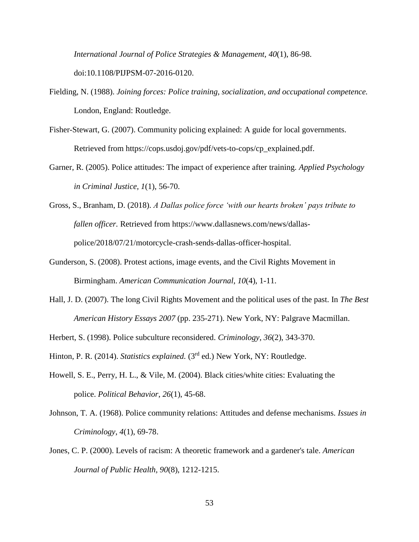*International Journal of Police Strategies & Management, 40*(1), 86-98. doi:10.1108/PIJPSM-07-2016-0120.

- Fielding, N. (1988). *Joining forces: Police training, socialization, and occupational competence.* London, England: Routledge.
- Fisher-Stewart, G. (2007). Community policing explained: A guide for local governments. Retrieved from https://cops.usdoj.gov/pdf/vets-to-cops/cp\_explained.pdf.
- Garner, R. (2005). Police attitudes: The impact of experience after training. *Applied Psychology in Criminal Justice, 1*(1), 56-70.
- Gross, S., Branham, D. (2018). *A Dallas police force 'with our hearts broken' pays tribute to fallen officer.* Retrieved from https://www.dallasnews.com/news/dallaspolice/2018/07/21/motorcycle-crash-sends-dallas-officer-hospital.
- Gunderson, S. (2008). Protest actions, image events, and the Civil Rights Movement in Birmingham. *American Communication Journal*, *10*(4), 1-11.
- Hall, J. D. (2007). The long Civil Rights Movement and the political uses of the past. In *The Best American History Essays 2007* (pp. 235-271). New York, NY: Palgrave Macmillan.
- Herbert, S. (1998). Police subculture reconsidered. *Criminology*, *36*(2), 343-370.
- Hinton, P. R. (2014). *Statistics explained.* (3<sup>rd</sup> ed.) New York, NY: Routledge.
- Howell, S. E., Perry, H. L., & Vile, M. (2004). Black cities/white cities: Evaluating the police. *Political Behavior*, *26*(1), 45-68.
- Johnson, T. A. (1968). Police community relations: Attitudes and defense mechanisms. *Issues in Criminology*, *4*(1), 69-78.
- Jones, C. P. (2000). Levels of racism: A theoretic framework and a gardener's tale. *American Journal of Public Health, 90*(8), 1212-1215.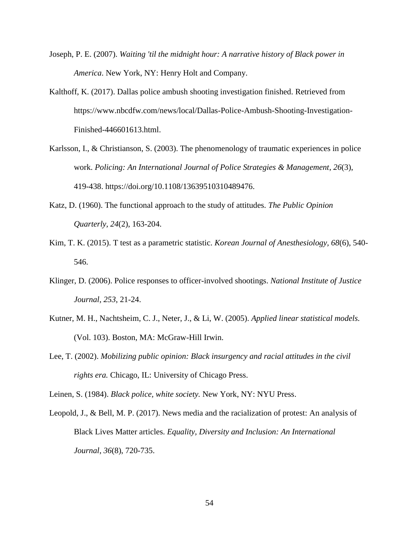- Joseph, P. E. (2007). *Waiting 'til the midnight hour: A narrative history of Black power in America*. New York, NY: Henry Holt and Company.
- Kalthoff, K. (2017). Dallas police ambush shooting investigation finished. Retrieved from https://www.nbcdfw.com/news/local/Dallas-Police-Ambush-Shooting-Investigation-Finished-446601613.html.
- Karlsson, I., & Christianson, S. (2003). The phenomenology of traumatic experiences in police work. *Policing: An International Journal of Police Strategies & Management*, *26*(3), 419-438. https://doi.org/10.1108/13639510310489476.
- Katz, D. (1960). The functional approach to the study of attitudes. *The Public Opinion Quarterly, 24*(2), 163-204.
- Kim, T. K. (2015). T test as a parametric statistic. *Korean Journal of Anesthesiology, 68*(6), 540- 546.
- Klinger, D. (2006). Police responses to officer-involved shootings. *National Institute of Justice Journal*, *253*, 21-24.
- Kutner, M. H., Nachtsheim, C. J., Neter, J., & Li, W. (2005). *Applied linear statistical models.* (Vol. 103). Boston, MA: McGraw-Hill Irwin.
- Lee, T. (2002). *Mobilizing public opinion: Black insurgency and racial attitudes in the civil rights era.* Chicago, IL: University of Chicago Press.

Leinen, S. (1984). *Black police, white society.* New York, NY: NYU Press.

Leopold, J., & Bell, M. P. (2017). News media and the racialization of protest: An analysis of Black Lives Matter articles. *Equality, Diversity and Inclusion: An International Journal*, *36*(8), 720-735.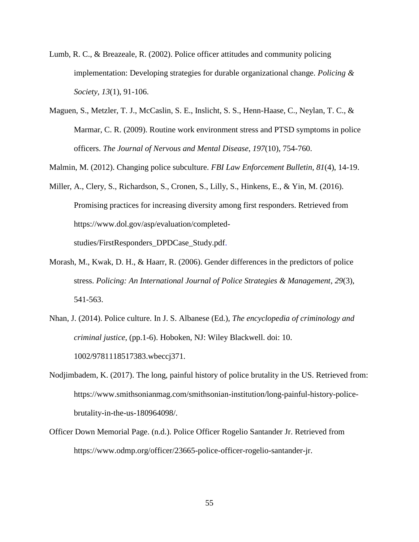- Lumb, R. C., & Breazeale, R. (2002). Police officer attitudes and community policing implementation: Developing strategies for durable organizational change. *Policing & Society, 13*(1), 91-106.
- Maguen, S., Metzler, T. J., McCaslin, S. E., Inslicht, S. S., Henn-Haase, C., Neylan, T. C., & Marmar, C. R. (2009). Routine work environment stress and PTSD symptoms in police officers. *The Journal of Nervous and Mental Disease*, *197*(10), 754-760.
- Malmin, M. (2012). Changing police subculture. *FBI Law Enforcement Bulletin, 81*(4), 14-19.
- Miller, A., Clery, S., Richardson, S., Cronen, S., Lilly, S., Hinkens, E., & Yin, M. (2016). Promising practices for increasing diversity among first responders. Retrieved from https://www.dol.gov/asp/evaluation/completed-

studies/FirstResponders\_DPDCase\_Study.pdf.

- Morash, M., Kwak, D. H., & Haarr, R. (2006). Gender differences in the predictors of police stress. *Policing: An International Journal of Police Strategies & Management*, *29*(3), 541-563.
- Nhan, J. (2014). Police culture. In J. S. Albanese (Ed.), *The encyclopedia of criminology and criminal justice*, (pp.1-6). Hoboken, NJ: Wiley Blackwell. doi: 10. 1002/9781118517383.wbeccj371.
- Nodjimbadem, K. (2017). The long, painful history of police brutality in the US. Retrieved from: https://www.smithsonianmag.com/smithsonian-institution/long-painful-history-policebrutality-in-the-us-180964098/.
- Officer Down Memorial Page. (n.d.). Police Officer Rogelio Santander Jr. Retrieved from https://www.odmp.org/officer/23665-police-officer-rogelio-santander-jr.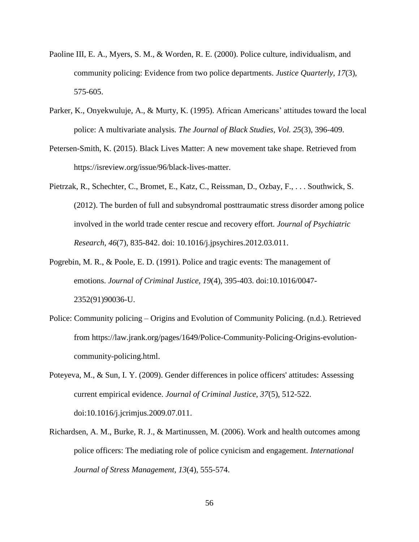- Paoline III, E. A., Myers, S. M., & Worden, R. E. (2000). Police culture, individualism, and community policing: Evidence from two police departments. *Justice Quarterly, 17*(3), 575-605.
- Parker, K., Onyekwuluje, A., & Murty, K. (1995). African Americans' attitudes toward the local police: A multivariate analysis*. The Journal of Black Studies, Vol. 25*(3), 396-409.
- Petersen-Smith, K. (2015). Black Lives Matter: A new movement take shape. Retrieved from https://isreview.org/issue/96/black-lives-matter.
- Pietrzak, R., Schechter, C., Bromet, E., Katz, C., Reissman, D., Ozbay, F., . . . Southwick, S. (2012). The burden of full and subsyndromal posttraumatic stress disorder among police involved in the world trade center rescue and recovery effort. *Journal of Psychiatric Research, 46*(7), 835-842. doi: 10.1016/j.jpsychires.2012.03.011.
- Pogrebin, M. R., & Poole, E. D. (1991). Police and tragic events: The management of emotions. *Journal of Criminal Justice, 19*(4), 395-403. doi:10.1016/0047- 2352(91)90036-U.
- Police: Community policing Origins and Evolution of Community Policing. (n.d.). Retrieved from https://law.jrank.org/pages/1649/Police-Community-Policing-Origins-evolutioncommunity-policing.html.
- Poteyeva, M., & Sun, I. Y. (2009). Gender differences in police officers' attitudes: Assessing current empirical evidence. *Journal of Criminal Justice, 37*(5), 512-522. doi:10.1016/j.jcrimjus.2009.07.011.
- Richardsen, A. M., Burke, R. J., & Martinussen, M. (2006). Work and health outcomes among police officers: The mediating role of police cynicism and engagement. *International Journal of Stress Management, 13*(4), 555-574.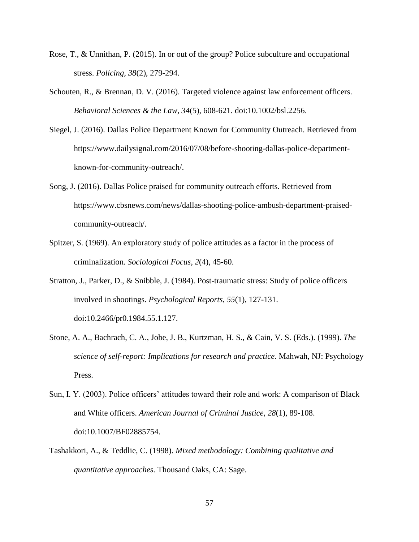- Rose, T., & Unnithan, P. (2015). In or out of the group? Police subculture and occupational stress. *Policing, 38*(2), 279-294.
- Schouten, R., & Brennan, D. V. (2016). Targeted violence against law enforcement officers. *Behavioral Sciences & the Law, 34*(5), 608-621. doi:10.1002/bsl.2256.
- Siegel, J. (2016). Dallas Police Department Known for Community Outreach. Retrieved from https://www.dailysignal.com/2016/07/08/before-shooting-dallas-police-departmentknown-for-community-outreach/.
- Song, J. (2016). Dallas Police praised for community outreach efforts. Retrieved from https://www.cbsnews.com/news/dallas-shooting-police-ambush-department-praisedcommunity-outreach/.
- Spitzer, S. (1969). An exploratory study of police attitudes as a factor in the process of criminalization. *Sociological Focus*, *2*(4), 45-60.
- Stratton, J., Parker, D., & Snibble, J. (1984). Post-traumatic stress: Study of police officers involved in shootings. *Psychological Reports, 55*(1), 127-131. doi:10.2466/pr0.1984.55.1.127.
- Stone, A. A., Bachrach, C. A., Jobe, J. B., Kurtzman, H. S., & Cain, V. S. (Eds.). (1999). *The science of self-report: Implications for research and practice.* Mahwah, NJ: Psychology Press.
- Sun, I. Y. (2003). Police officers' attitudes toward their role and work: A comparison of Black and White officers. *American Journal of Criminal Justice, 28*(1), 89-108. doi:10.1007/BF02885754.
- Tashakkori, A., & Teddlie, C. (1998). *Mixed methodology: Combining qualitative and quantitative approaches.* Thousand Oaks, CA: Sage.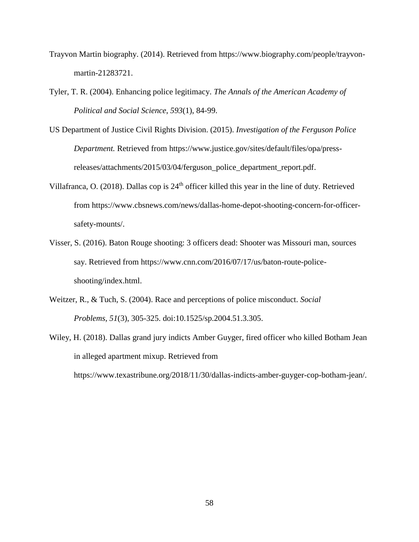- Trayvon Martin biography. (2014). Retrieved from https://www.biography.com/people/trayvonmartin-21283721.
- Tyler, T. R. (2004). Enhancing police legitimacy. *The Annals of the American Academy of Political and Social Science*, *593*(1), 84-99.
- US Department of Justice Civil Rights Division. (2015). *Investigation of the Ferguson Police Department.* Retrieved from https://www.justice.gov/sites/default/files/opa/pressreleases/attachments/2015/03/04/ferguson\_police\_department\_report.pdf.
- Villafranca, O. (2018). Dallas cop is 24<sup>th</sup> officer killed this year in the line of duty. Retrieved from https://www.cbsnews.com/news/dallas-home-depot-shooting-concern-for-officersafety-mounts/.
- Visser, S. (2016). Baton Rouge shooting: 3 officers dead: Shooter was Missouri man, sources say. Retrieved from https://www.cnn.com/2016/07/17/us/baton-route-policeshooting/index.html.
- Weitzer, R., & Tuch, S. (2004). Race and perceptions of police misconduct. *Social Problems, 51*(3), 305-325. doi:10.1525/sp.2004.51.3.305.
- Wiley, H. (2018). Dallas grand jury indicts Amber Guyger, fired officer who killed Botham Jean in alleged apartment mixup. Retrieved from

https://www.texastribune.org/2018/11/30/dallas-indicts-amber-guyger-cop-botham-jean/.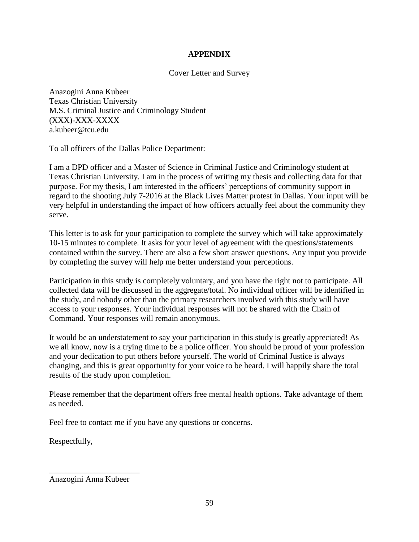# **APPENDIX**

# Cover Letter and Survey

Anazogini Anna Kubeer Texas Christian University M.S. Criminal Justice and Criminology Student (XXX)-XXX-XXXX a.kubeer@tcu.edu

To all officers of the Dallas Police Department:

I am a DPD officer and a Master of Science in Criminal Justice and Criminology student at Texas Christian University. I am in the process of writing my thesis and collecting data for that purpose. For my thesis, I am interested in the officers' perceptions of community support in regard to the shooting July 7-2016 at the Black Lives Matter protest in Dallas. Your input will be very helpful in understanding the impact of how officers actually feel about the community they serve.

This letter is to ask for your participation to complete the survey which will take approximately 10-15 minutes to complete. It asks for your level of agreement with the questions/statements contained within the survey. There are also a few short answer questions. Any input you provide by completing the survey will help me better understand your perceptions.

Participation in this study is completely voluntary, and you have the right not to participate. All collected data will be discussed in the aggregate/total. No individual officer will be identified in the study, and nobody other than the primary researchers involved with this study will have access to your responses. Your individual responses will not be shared with the Chain of Command. Your responses will remain anonymous.

It would be an understatement to say your participation in this study is greatly appreciated! As we all know, now is a trying time to be a police officer. You should be proud of your profession and your dedication to put others before yourself. The world of Criminal Justice is always changing, and this is great opportunity for your voice to be heard. I will happily share the total results of the study upon completion.

Please remember that the department offers free mental health options. Take advantage of them as needed.

Feel free to contact me if you have any questions or concerns.

Respectfully,

\_\_\_\_\_\_\_\_\_\_\_\_\_\_\_\_\_\_\_\_\_\_

Anazogini Anna Kubeer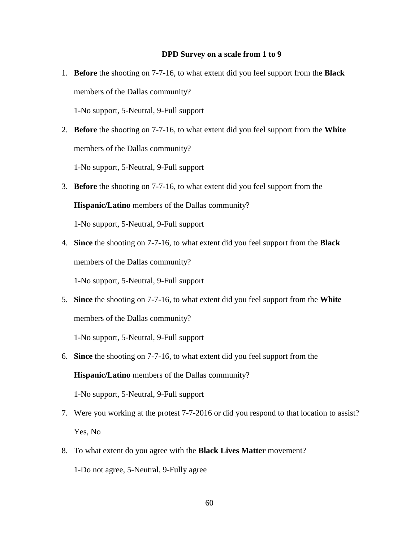#### **DPD Survey on a scale from 1 to 9**

- 1. **Before** the shooting on 7-7-16, to what extent did you feel support from the **Black** members of the Dallas community? 1-No support, 5-Neutral, 9-Full support
- 2. **Before** the shooting on 7-7-16, to what extent did you feel support from the **White** members of the Dallas community? 1-No support, 5-Neutral, 9-Full support
- 3. **Before** the shooting on 7-7-16, to what extent did you feel support from the **Hispanic/Latino** members of the Dallas community? 1-No support, 5-Neutral, 9-Full support
- 4. **Since** the shooting on 7-7-16, to what extent did you feel support from the **Black** members of the Dallas community?

1-No support, 5-Neutral, 9-Full support

5. **Since** the shooting on 7-7-16, to what extent did you feel support from the **White** members of the Dallas community?

1-No support, 5-Neutral, 9-Full support

6. **Since** the shooting on 7-7-16, to what extent did you feel support from the

**Hispanic/Latino** members of the Dallas community?

1-No support, 5-Neutral, 9-Full support

- 7. Were you working at the protest 7-7-2016 or did you respond to that location to assist? Yes, No
- 8. To what extent do you agree with the **Black Lives Matter** movement? 1-Do not agree, 5-Neutral, 9-Fully agree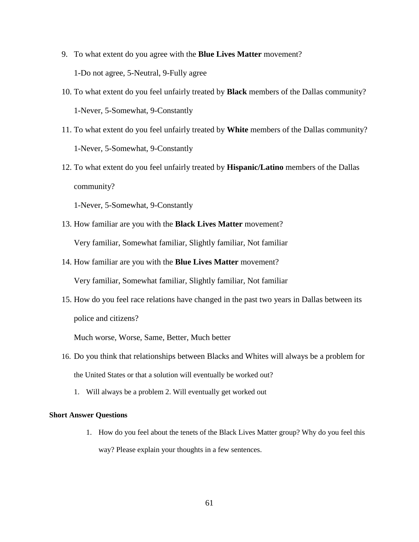- 9. To what extent do you agree with the **Blue Lives Matter** movement? 1-Do not agree, 5-Neutral, 9-Fully agree
- 10. To what extent do you feel unfairly treated by **Black** members of the Dallas community? 1-Never, 5-Somewhat, 9-Constantly
- 11. To what extent do you feel unfairly treated by **White** members of the Dallas community? 1-Never, 5-Somewhat, 9-Constantly
- 12. To what extent do you feel unfairly treated by **Hispanic/Latino** members of the Dallas community?

1-Never, 5-Somewhat, 9-Constantly

- 13. How familiar are you with the **Black Lives Matter** movement? Very familiar, Somewhat familiar, Slightly familiar, Not familiar
- 14. How familiar are you with the **Blue Lives Matter** movement? Very familiar, Somewhat familiar, Slightly familiar, Not familiar
- 15. How do you feel race relations have changed in the past two years in Dallas between its police and citizens?

Much worse, Worse, Same, Better, Much better

- 16. Do you think that relationships between Blacks and Whites will always be a problem for the United States or that a solution will eventually be worked out?
	- 1. Will always be a problem 2. Will eventually get worked out

## **Short Answer Questions**

1. How do you feel about the tenets of the Black Lives Matter group? Why do you feel this way? Please explain your thoughts in a few sentences.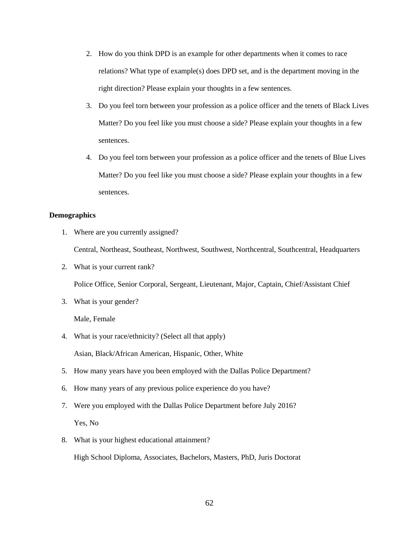- 2. How do you think DPD is an example for other departments when it comes to race relations? What type of example(s) does DPD set, and is the department moving in the right direction? Please explain your thoughts in a few sentences.
- 3. Do you feel torn between your profession as a police officer and the tenets of Black Lives Matter? Do you feel like you must choose a side? Please explain your thoughts in a few sentences.
- 4. Do you feel torn between your profession as a police officer and the tenets of Blue Lives Matter? Do you feel like you must choose a side? Please explain your thoughts in a few sentences.

#### **Demographics**

1. Where are you currently assigned?

Central, Northeast, Southeast, Northwest, Southwest, Northcentral, Southcentral, Headquarters

2. What is your current rank?

Police Office, Senior Corporal, Sergeant, Lieutenant, Major, Captain, Chief/Assistant Chief

3. What is your gender?

Male, Female

4. What is your race/ethnicity? (Select all that apply)

Asian, Black/African American, Hispanic, Other, White

- 5. How many years have you been employed with the Dallas Police Department?
- 6. How many years of any previous police experience do you have?
- 7. Were you employed with the Dallas Police Department before July 2016? Yes, No
- 8. What is your highest educational attainment?

High School Diploma, Associates, Bachelors, Masters, PhD, Juris Doctorat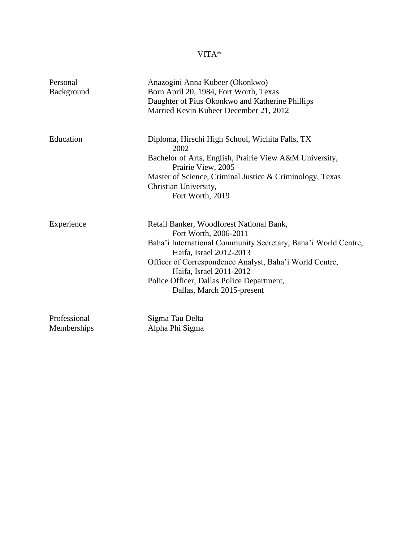# VITA\*

| Personal<br>Background      | Anazogini Anna Kubeer (Okonkwo)<br>Born April 20, 1984, Fort Worth, Texas<br>Daughter of Pius Okonkwo and Katherine Phillips<br>Married Kevin Kubeer December 21, 2012                                                                                                                                                          |
|-----------------------------|---------------------------------------------------------------------------------------------------------------------------------------------------------------------------------------------------------------------------------------------------------------------------------------------------------------------------------|
| Education                   | Diploma, Hirschi High School, Wichita Falls, TX<br>2002<br>Bachelor of Arts, English, Prairie View A&M University,<br>Prairie View, 2005<br>Master of Science, Criminal Justice & Criminology, Texas<br>Christian University,<br>Fort Worth, 2019                                                                               |
| Experience                  | Retail Banker, Woodforest National Bank,<br>Fort Worth, 2006-2011<br>Baha'i International Community Secretary, Baha'i World Centre,<br>Haifa, Israel 2012-2013<br>Officer of Correspondence Analyst, Baha'i World Centre,<br>Haifa, Israel 2011-2012<br>Police Officer, Dallas Police Department,<br>Dallas, March 2015-present |
| Professional<br>Memberships | Sigma Tau Delta<br>Alpha Phi Sigma                                                                                                                                                                                                                                                                                              |